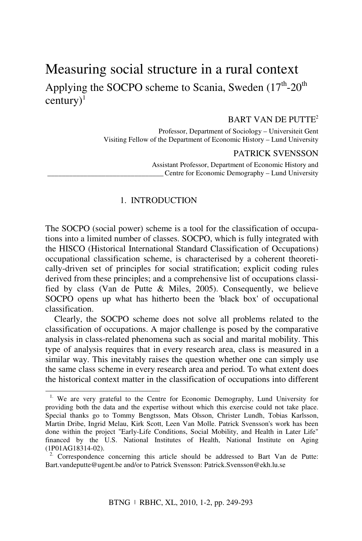# Measuring social structure in a rural context Applying the SOCPO scheme to Scania, Sweden  $(17<sup>th</sup>-20<sup>th</sup>)$  $century$ <sup>1</sup>

## BART VAN DE PUTTE2

Professor, Department of Sociology – Universiteit Gent Visiting Fellow of the Department of Economic History – Lund University

#### PATRICK SVENSSON

Assistant Professor, Department of Economic History and Centre for Economic Demography – Lund University

#### 1. INTRODUCTION

The SOCPO (social power) scheme is a tool for the classification of occupations into a limited number of classes. SOCPO, which is fully integrated with the HISCO (Historical International Standard Classification of Occupations) occupational classification scheme, is characterised by a coherent theoretically-driven set of principles for social stratification; explicit coding rules derived from these principles; and a comprehensive list of occupations classified by class (Van de Putte & Miles, 2005). Consequently, we believe SOCPO opens up what has hitherto been the 'black box' of occupational classification.

Clearly, the SOCPO scheme does not solve all problems related to the classification of occupations. A major challenge is posed by the comparative analysis in class-related phenomena such as social and marital mobility. This type of analysis requires that in every research area, class is measured in a similar way. This inevitably raises the question whether one can simply use the same class scheme in every research area and period. To what extent does the historical context matter in the classification of occupations into different

<sup>&</sup>lt;sup>1.</sup> We are very grateful to the Centre for Economic Demography, Lund University for providing both the data and the expertise without which this exercise could not take place. Special thanks go to Tommy Bengtsson, Mats Olsson, Christer Lundh, Tobias Karlsson, Martin Dribe, Ingrid Melau, Kirk Scott, Leen Van Molle. Patrick Svensson's work has been done within the project "Early-Life Conditions, Social Mobility, and Health in Later Life" financed by the U.S. National Institutes of Health, National Institute on Aging (1P01AG18314-02).

 $2.$  Correspondence concerning this article should be addressed to Bart Van de Putte: Bart.vandeputte@ugent.be and/or to Patrick Svensson: Patrick.Svensson@ekh.lu.se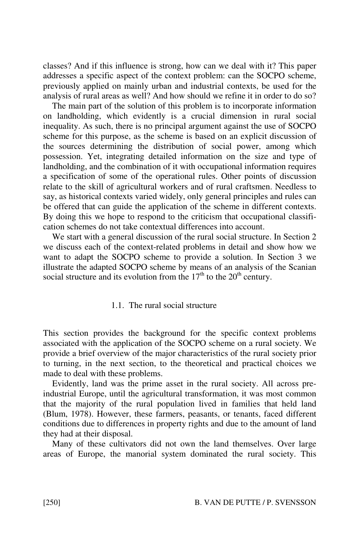classes? And if this influence is strong, how can we deal with it? This paper addresses a specific aspect of the context problem: can the SOCPO scheme, previously applied on mainly urban and industrial contexts, be used for the analysis of rural areas as well? And how should we refine it in order to do so?

The main part of the solution of this problem is to incorporate information on landholding, which evidently is a crucial dimension in rural social inequality. As such, there is no principal argument against the use of SOCPO scheme for this purpose, as the scheme is based on an explicit discussion of the sources determining the distribution of social power, among which possession. Yet, integrating detailed information on the size and type of landholding, and the combination of it with occupational information requires a specification of some of the operational rules. Other points of discussion relate to the skill of agricultural workers and of rural craftsmen. Needless to say, as historical contexts varied widely, only general principles and rules can be offered that can guide the application of the scheme in different contexts. By doing this we hope to respond to the criticism that occupational classification schemes do not take contextual differences into account.

We start with a general discussion of the rural social structure. In Section 2 we discuss each of the context-related problems in detail and show how we want to adapt the SOCPO scheme to provide a solution. In Section 3 we illustrate the adapted SOCPO scheme by means of an analysis of the Scanian social structure and its evolution from the  $17<sup>th</sup>$  to the  $20<sup>th</sup>$  century.

## 1.1. The rural social structure

This section provides the background for the specific context problems associated with the application of the SOCPO scheme on a rural society. We provide a brief overview of the major characteristics of the rural society prior to turning, in the next section, to the theoretical and practical choices we made to deal with these problems.

Evidently, land was the prime asset in the rural society. All across preindustrial Europe, until the agricultural transformation, it was most common that the majority of the rural population lived in families that held land (Blum, 1978). However, these farmers, peasants, or tenants, faced different conditions due to differences in property rights and due to the amount of land they had at their disposal.

Many of these cultivators did not own the land themselves. Over large areas of Europe, the manorial system dominated the rural society. This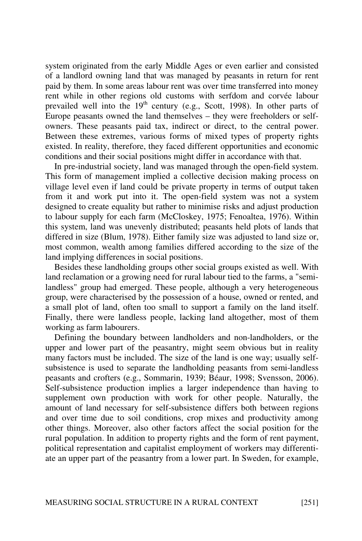system originated from the early Middle Ages or even earlier and consisted of a landlord owning land that was managed by peasants in return for rent paid by them. In some areas labour rent was over time transferred into money rent while in other regions old customs with serfdom and corvée labour prevailed well into the  $19<sup>th</sup>$  century (e.g., Scott, 1998). In other parts of Europe peasants owned the land themselves – they were freeholders or selfowners. These peasants paid tax, indirect or direct, to the central power. Between these extremes, various forms of mixed types of property rights existed. In reality, therefore, they faced different opportunities and economic conditions and their social positions might differ in accordance with that.

In pre-industrial society, land was managed through the open-field system. This form of management implied a collective decision making process on village level even if land could be private property in terms of output taken from it and work put into it. The open-field system was not a system designed to create equality but rather to minimise risks and adjust production to labour supply for each farm (McCloskey, 1975; Fenoaltea, 1976). Within this system, land was unevenly distributed; peasants held plots of lands that differed in size (Blum, 1978). Either family size was adjusted to land size or, most common, wealth among families differed according to the size of the land implying differences in social positions.

Besides these landholding groups other social groups existed as well. With land reclamation or a growing need for rural labour tied to the farms, a "semilandless" group had emerged. These people, although a very heterogeneous group, were characterised by the possession of a house, owned or rented, and a small plot of land, often too small to support a family on the land itself. Finally, there were landless people, lacking land altogether, most of them working as farm labourers.

Defining the boundary between landholders and non-landholders, or the upper and lower part of the peasantry, might seem obvious but in reality many factors must be included. The size of the land is one way; usually selfsubsistence is used to separate the landholding peasants from semi-landless peasants and crofters (e.g., Sommarin, 1939; Béaur, 1998; Svensson, 2006). Self-subsistence production implies a larger independence than having to supplement own production with work for other people. Naturally, the amount of land necessary for self-subsistence differs both between regions and over time due to soil conditions, crop mixes and productivity among other things. Moreover, also other factors affect the social position for the rural population. In addition to property rights and the form of rent payment, political representation and capitalist employment of workers may differentiate an upper part of the peasantry from a lower part. In Sweden, for example,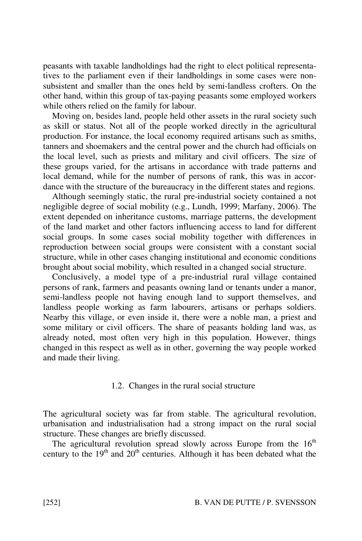peasants with taxable landholdings had the right to elect political representatives to the parliament even if their landholdings in some cases were nonsubsistent and smaller than the ones held by semi-landless crofters. On the other hand, within this group of tax-paying peasants some employed workers while others relied on the family for labour.

Moving on, besides land, people held other assets in the rural society such as skill or status. Not all of the people worked directly in the agricultural production. For instance, the local economy required artisans such as smiths, tanners and shoemakers and the central power and the church had officials on the local level, such as priests and military and civil officers. The size of these groups varied, for the artisans in accordance with trade patterns and local demand, while for the number of persons of rank, this was in accordance with the structure of the bureaucracy in the different states and regions.

Although seemingly static, the rural pre-industrial society contained a not negligible degree of social mobility (e.g., Lundh, 1999; Marfany, 2006). The extent depended on inheritance customs, marriage patterns, the development of the land market and other factors influencing access to land for different social groups. In some cases social mobility together with differences in reproduction between social groups were consistent with a constant social structure, while in other cases changing institutional and economic conditions brought about social mobility, which resulted in a changed social structure.

Conclusively, a model type of a pre-industrial rural village contained persons of rank, farmers and peasants owning land or tenants under a manor, semi-landless people not having enough land to support themselves, and landless people working as farm labourers, artisans or perhaps soldiers. Nearby this village, or even inside it, there were a noble man, a priest and some military or civil officers. The share of peasants holding land was, as already noted, most often very high in this population. However, things changed in this respect as well as in other, governing the way people worked and made their living.

#### 1.2. Changes in the rural social structure

The agricultural society was far from stable. The agricultural revolution, urbanisation and industrialisation had a strong impact on the rural social structure. These changes are briefly discussed.

The agricultural revolution spread slowly across Europe from the  $16<sup>th</sup>$ century to the  $19<sup>th</sup>$  and  $20<sup>th</sup>$  centuries. Although it has been debated what the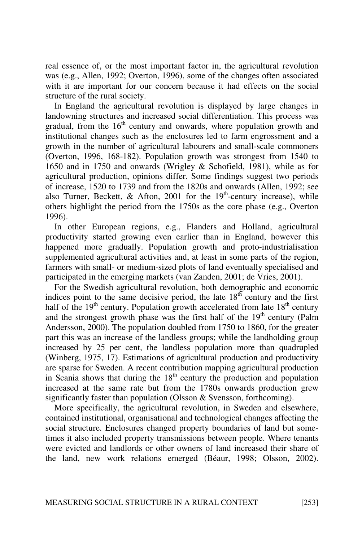real essence of, or the most important factor in, the agricultural revolution was (e.g., Allen, 1992; Overton, 1996), some of the changes often associated with it are important for our concern because it had effects on the social structure of the rural society.

In England the agricultural revolution is displayed by large changes in landowning structures and increased social differentiation. This process was gradual, from the  $16<sup>th</sup>$  century and onwards, where population growth and institutional changes such as the enclosures led to farm engrossment and a growth in the number of agricultural labourers and small-scale commoners (Overton, 1996, 168-182). Population growth was strongest from 1540 to 1650 and in 1750 and onwards (Wrigley & Schofield, 1981), while as for agricultural production, opinions differ. Some findings suggest two periods of increase, 1520 to 1739 and from the 1820s and onwards (Allen, 1992; see also Turner, Beckett,  $\&$  Afton, 2001 for the 19<sup>th</sup>-century increase), while others highlight the period from the 1750s as the core phase (e.g., Overton 1996).

In other European regions, e.g., Flanders and Holland, agricultural productivity started growing even earlier than in England, however this happened more gradually. Population growth and proto-industrialisation supplemented agricultural activities and, at least in some parts of the region, farmers with small- or medium-sized plots of land eventually specialised and participated in the emerging markets (van Zanden, 2001; de Vries, 2001).

For the Swedish agricultural revolution, both demographic and economic indices point to the same decisive period, the late  $18<sup>th</sup>$  century and the first half of the  $19<sup>th</sup>$  century. Population growth accelerated from late  $18<sup>th</sup>$  century and the strongest growth phase was the first half of the  $19<sup>th</sup>$  century (Palm Andersson, 2000). The population doubled from 1750 to 1860, for the greater part this was an increase of the landless groups; while the landholding group increased by 25 per cent, the landless population more than quadrupled (Winberg, 1975, 17). Estimations of agricultural production and productivity are sparse for Sweden. A recent contribution mapping agricultural production in Scania shows that during the  $18<sup>th</sup>$  century the production and population increased at the same rate but from the 1780s onwards production grew significantly faster than population (Olsson & Svensson, forthcoming).

More specifically, the agricultural revolution, in Sweden and elsewhere, contained institutional, organisational and technological changes affecting the social structure. Enclosures changed property boundaries of land but sometimes it also included property transmissions between people. Where tenants were evicted and landlords or other owners of land increased their share of the land, new work relations emerged (Béaur, 1998; Olsson, 2002).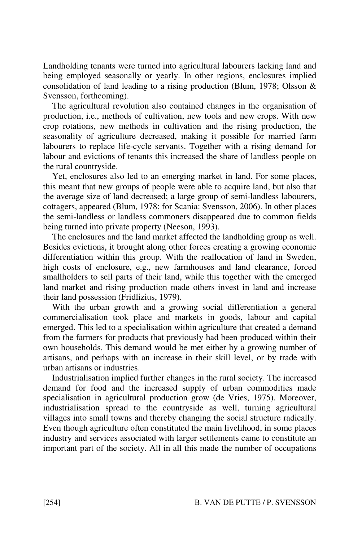Landholding tenants were turned into agricultural labourers lacking land and being employed seasonally or yearly. In other regions, enclosures implied consolidation of land leading to a rising production (Blum, 1978; Olsson & Svensson, forthcoming).

The agricultural revolution also contained changes in the organisation of production, i.e., methods of cultivation, new tools and new crops. With new crop rotations, new methods in cultivation and the rising production, the seasonality of agriculture decreased, making it possible for married farm labourers to replace life-cycle servants. Together with a rising demand for labour and evictions of tenants this increased the share of landless people on the rural countryside.

Yet, enclosures also led to an emerging market in land. For some places, this meant that new groups of people were able to acquire land, but also that the average size of land decreased; a large group of semi-landless labourers, cottagers, appeared (Blum, 1978; for Scania: Svensson, 2006). In other places the semi-landless or landless commoners disappeared due to common fields being turned into private property (Neeson, 1993).

The enclosures and the land market affected the landholding group as well. Besides evictions, it brought along other forces creating a growing economic differentiation within this group. With the reallocation of land in Sweden, high costs of enclosure, e.g., new farmhouses and land clearance, forced smallholders to sell parts of their land, while this together with the emerged land market and rising production made others invest in land and increase their land possession (Fridlizius, 1979).

With the urban growth and a growing social differentiation a general commercialisation took place and markets in goods, labour and capital emerged. This led to a specialisation within agriculture that created a demand from the farmers for products that previously had been produced within their own households. This demand would be met either by a growing number of artisans, and perhaps with an increase in their skill level, or by trade with urban artisans or industries.

Industrialisation implied further changes in the rural society. The increased demand for food and the increased supply of urban commodities made specialisation in agricultural production grow (de Vries, 1975). Moreover, industrialisation spread to the countryside as well, turning agricultural villages into small towns and thereby changing the social structure radically. Even though agriculture often constituted the main livelihood, in some places industry and services associated with larger settlements came to constitute an important part of the society. All in all this made the number of occupations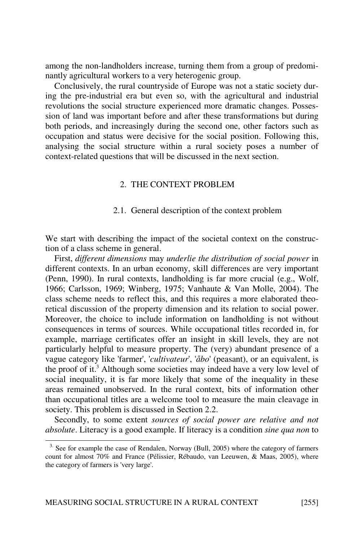among the non-landholders increase, turning them from a group of predominantly agricultural workers to a very heterogenic group.

Conclusively, the rural countryside of Europe was not a static society during the pre-industrial era but even so, with the agricultural and industrial revolutions the social structure experienced more dramatic changes. Possession of land was important before and after these transformations but during both periods, and increasingly during the second one, other factors such as occupation and status were decisive for the social position. Following this, analysing the social structure within a rural society poses a number of context-related questions that will be discussed in the next section.

#### 2. THE CONTEXT PROBLEM

#### 2.1. General description of the context problem

We start with describing the impact of the societal context on the construction of a class scheme in general.

First, different dimensions may underlie the distribution of social power in different contexts. In an urban economy, skill differences are very important (Penn, 1990). In rural contexts, landholding is far more crucial (e.g., Wolf, 1966; Carlsson, 1969; Winberg, 1975; Vanhaute & Van Molle, 2004). The class scheme needs to reflect this, and this requires a more elaborated theoretical discussion of the property dimension and its relation to social power. Moreover, the choice to include information on landholding is not without consequences in terms of sources. While occupational titles recorded in, for example, marriage certificates offer an insight in skill levels, they are not particularly helpful to measure property. The (very) abundant presence of a vague category like 'farmer', 'cultivateur', 'åbo' (peasant), or an equivalent, is the proof of it.3 Although some societies may indeed have a very low level of social inequality, it is far more likely that some of the inequality in these areas remained unobserved. In the rural context, bits of information other than occupational titles are a welcome tool to measure the main cleavage in society. This problem is discussed in Section 2.2.

Secondly, to some extent sources of social power are relative and not absolute. Literacy is a good example. If literacy is a condition sine qua non to

<sup>&</sup>lt;sup>3.</sup> See for example the case of Rendalen, Norway (Bull, 2005) where the category of farmers count for almost 70% and France (Pélissier, Rébaudo, van Leeuwen, & Maas, 2005), where the category of farmers is 'very large'.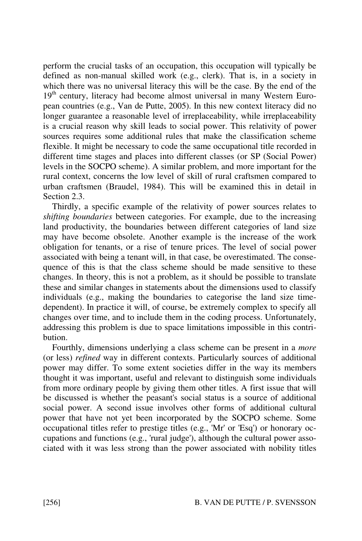perform the crucial tasks of an occupation, this occupation will typically be defined as non-manual skilled work (e.g., clerk). That is, in a society in which there was no universal literacy this will be the case. By the end of the 19<sup>th</sup> century, literacy had become almost universal in many Western European countries (e.g., Van de Putte, 2005). In this new context literacy did no longer guarantee a reasonable level of irreplaceability, while irreplaceability is a crucial reason why skill leads to social power. This relativity of power sources requires some additional rules that make the classification scheme flexible. It might be necessary to code the same occupational title recorded in different time stages and places into different classes (or SP (Social Power) levels in the SOCPO scheme). A similar problem, and more important for the rural context, concerns the low level of skill of rural craftsmen compared to urban craftsmen (Braudel, 1984). This will be examined this in detail in Section 2.3.

Thirdly, a specific example of the relativity of power sources relates to shifting boundaries between categories. For example, due to the increasing land productivity, the boundaries between different categories of land size may have become obsolete. Another example is the increase of the work obligation for tenants, or a rise of tenure prices. The level of social power associated with being a tenant will, in that case, be overestimated. The consequence of this is that the class scheme should be made sensitive to these changes. In theory, this is not a problem, as it should be possible to translate these and similar changes in statements about the dimensions used to classify individuals (e.g., making the boundaries to categorise the land size timedependent). In practice it will, of course, be extremely complex to specify all changes over time, and to include them in the coding process. Unfortunately, addressing this problem is due to space limitations impossible in this contribution.

Fourthly, dimensions underlying a class scheme can be present in a more (or less) refined way in different contexts. Particularly sources of additional power may differ. To some extent societies differ in the way its members thought it was important, useful and relevant to distinguish some individuals from more ordinary people by giving them other titles. A first issue that will be discussed is whether the peasant's social status is a source of additional social power. A second issue involves other forms of additional cultural power that have not yet been incorporated by the SOCPO scheme. Some occupational titles refer to prestige titles (e.g., 'Mr' or 'Esq') or honorary occupations and functions (e.g., 'rural judge'), although the cultural power associated with it was less strong than the power associated with nobility titles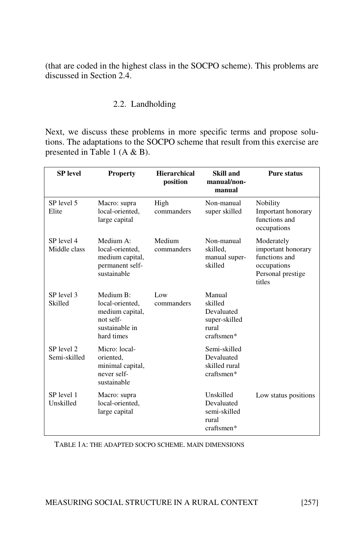(that are coded in the highest class in the SOCPO scheme). This problems are discussed in Section 2.4.

# 2.2. Landholding

Next, we discuss these problems in more specific terms and propose solutions. The adaptations to the SOCPO scheme that result from this exercise are presented in Table 1 (A & B).

| <b>SP</b> level            | <b>Property</b>                                                                              | <b>Hierarchical</b><br>position | Skill and<br>manual/non-<br>manual                                      | <b>Pure status</b>                                                                              |
|----------------------------|----------------------------------------------------------------------------------------------|---------------------------------|-------------------------------------------------------------------------|-------------------------------------------------------------------------------------------------|
| SP level 5<br>Elite        | Macro: supra<br>local-oriented.<br>large capital                                             | High<br>commanders              | Non-manual<br>super skilled                                             | <b>Nobility</b><br>Important honorary<br>functions and<br>occupations                           |
| SP level 4<br>Middle class | Medium A:<br>local-oriented.<br>medium capital,<br>permanent self-<br>sustainable            | Medium<br>commanders            | Non-manual<br>skilled.<br>manual super-<br>skilled                      | Moderately<br>important honorary<br>functions and<br>occupations<br>Personal prestige<br>titles |
| SP level 3<br>Skilled      | Medium B:<br>local-oriented,<br>medium capital,<br>not self-<br>sustainable in<br>hard times | Low<br>commanders               | Manual<br>skilled<br>Devaluated<br>super-skilled<br>rural<br>craftsmen* |                                                                                                 |
| SP level 2<br>Semi-skilled | Micro: local-<br>oriented,<br>minimal capital,<br>never self-<br>sustainable                 |                                 | Semi-skilled<br>Devaluated<br>skilled rural<br>craftsmen*               |                                                                                                 |
| SP level 1<br>Unskilled    | Macro: supra<br>local-oriented,<br>large capital                                             |                                 | Unskilled<br>Devaluated<br>semi-skilled<br>rural<br>craftsmen*          | Low status positions                                                                            |

TABLE 1A: THE ADAPTED SOCPO SCHEME. MAIN DIMENSIONS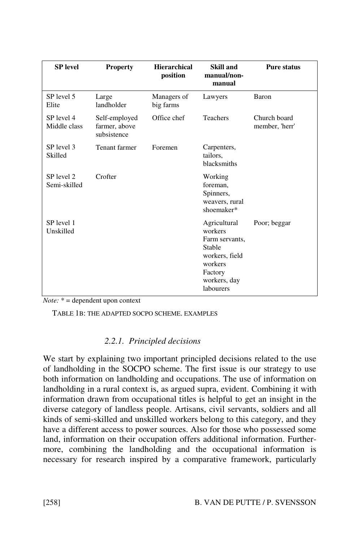| <b>SP</b> level            | <b>Property</b>                               | <b>Hierarchical</b><br>position | Skill and<br>manual/non-<br>manual                                                                                       | <b>Pure status</b>             |
|----------------------------|-----------------------------------------------|---------------------------------|--------------------------------------------------------------------------------------------------------------------------|--------------------------------|
| SP level 5<br>Elite        | Large<br>landholder                           | Managers of<br>big farms        | Lawyers                                                                                                                  | Baron                          |
| SP level 4<br>Middle class | Self-employed<br>farmer, above<br>subsistence | Office chef                     | <b>Teachers</b>                                                                                                          | Church board<br>member, 'herr' |
| SP level 3<br>Skilled      | Tenant farmer                                 | Foremen                         | Carpenters,<br>tailors,<br>blacksmiths                                                                                   |                                |
| SP level 2<br>Semi-skilled | Crofter                                       |                                 | Working<br>foreman.<br>Spinners,<br>weavers, rural<br>shoemaker*                                                         |                                |
| SP level 1<br>Unskilled    |                                               |                                 | Agricultural<br>workers<br>Farm servants,<br>Stable<br>workers, field<br>workers<br>Factory<br>workers, day<br>labourers | Poor; beggar                   |

 $Note: * = dependent upon context$ 

TABLE 1B: THE ADAPTED SOCPO SCHEME. EXAMPLES

# 2.2.1. Principled decisions

We start by explaining two important principled decisions related to the use of landholding in the SOCPO scheme. The first issue is our strategy to use both information on landholding and occupations. The use of information on landholding in a rural context is, as argued supra, evident. Combining it with information drawn from occupational titles is helpful to get an insight in the diverse category of landless people. Artisans, civil servants, soldiers and all kinds of semi-skilled and unskilled workers belong to this category, and they have a different access to power sources. Also for those who possessed some land, information on their occupation offers additional information. Furthermore, combining the landholding and the occupational information is necessary for research inspired by a comparative framework, particularly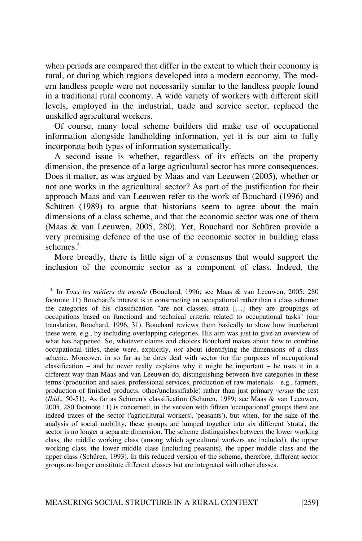when periods are compared that differ in the extent to which their economy is rural, or during which regions developed into a modern economy. The modern landless people were not necessarily similar to the landless people found in a traditional rural economy. A wide variety of workers with different skill levels, employed in the industrial, trade and service sector, replaced the unskilled agricultural workers.

Of course, many local scheme builders did make use of occupational information alongside landholding information, yet it is our aim to fully incorporate both types of information systematically.

A second issue is whether, regardless of its effects on the property dimension, the presence of a large agricultural sector has more consequences. Does it matter, as was argued by Maas and van Leeuwen (2005), whether or not one works in the agricultural sector? As part of the justification for their approach Maas and van Leeuwen refer to the work of Bouchard (1996) and Schüren (1989) to argue that historians seem to agree about the main dimensions of a class scheme, and that the economic sector was one of them (Maas & van Leeuwen, 2005, 280). Yet, Bouchard nor Schüren provide a very promising defence of the use of the economic sector in building class schemes.<sup>4</sup>

More broadly, there is little sign of a consensus that would support the inclusion of the economic sector as a component of class. Indeed, the

<sup>&</sup>lt;sup>4.</sup> In Tous les métiers du monde (Bouchard, 1996; see Maas & van Leeuwen, 2005: 280 footnote 11) Bouchard's interest is in constructing an occupational rather than a class scheme: the categories of his classification "are not classes, strata […] they are groupings of occupations based on functional and technical criteria related to occupational tasks" (our translation, Bouchard, 1996, 31). Bouchard reviews them basically to show how incoherent these were, e.g., by including overlapping categories. His aim was just to give an overview of what has happened. So, whatever claims and choices Bouchard makes about how to combine occupational titles, these were, explicitly, not about identifying the dimensions of a class scheme. Moreover, in so far as he does deal with sector for the purposes of occupational classification – and he never really explains why it might be important – he uses it in a different way than Maas and van Leeuwen do, distinguishing between five categories in these terms (production and sales, professional services, production of raw materials – e.g., farmers, production of finished products, other/unclassifiable) rather than just primary versus the rest (Ibid., 50-51). As far as Schüren's classification (Schüren, 1989; see Maas & van Leeuwen, 2005, 280 footnote 11) is concerned, in the version with fifteen 'occupational' groups there are indeed traces of the sector ('agricultural workers', 'peasants'), but when, for the sake of the analysis of social mobility, these groups are lumped together into six different 'strata', the sector is no longer a separate dimension. The scheme distinguishes between the lower working class, the middle working class (among which agricultural workers are included), the upper working class, the lower middle class (including peasants), the upper middle class and the upper class (Schüren, 1993). In this reduced version of the scheme, therefore, different sector groups no longer constitute different classes but are integrated with other classes.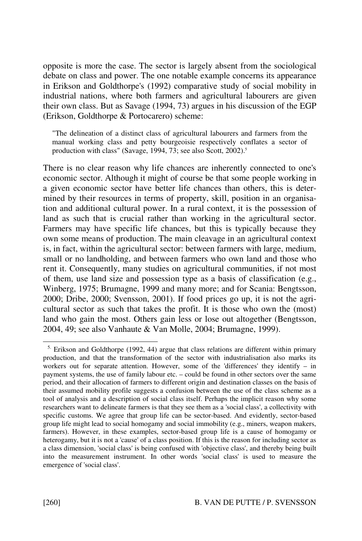opposite is more the case. The sector is largely absent from the sociological debate on class and power. The one notable example concerns its appearance in Erikson and Goldthorpe's (1992) comparative study of social mobility in industrial nations, where both farmers and agricultural labourers are given their own class. But as Savage (1994, 73) argues in his discussion of the EGP (Erikson, Goldthorpe & Portocarero) scheme:

"The delineation of a distinct class of agricultural labourers and farmers from the manual working class and petty bourgeoisie respectively conflates a sector of production with class" (Savage, 1994, 73; see also Scott, 2002).<sup>5</sup>

There is no clear reason why life chances are inherently connected to one's economic sector. Although it might of course be that some people working in a given economic sector have better life chances than others, this is determined by their resources in terms of property, skill, position in an organisation and additional cultural power. In a rural context, it is the possession of land as such that is crucial rather than working in the agricultural sector. Farmers may have specific life chances, but this is typically because they own some means of production. The main cleavage in an agricultural context is, in fact, within the agricultural sector: between farmers with large, medium, small or no landholding, and between farmers who own land and those who rent it. Consequently, many studies on agricultural communities, if not most of them, use land size and possession type as a basis of classification (e.g., Winberg, 1975; Brumagne, 1999 and many more; and for Scania: Bengtsson, 2000; Dribe, 2000; Svensson, 2001). If food prices go up, it is not the agricultural sector as such that takes the profit. It is those who own the (most) land who gain the most. Others gain less or lose out altogether (Bengtsson, 2004, 49; see also Vanhaute & Van Molle, 2004; Brumagne, 1999).

 $<sup>5</sup>$  Erikson and Goldthorpe (1992, 44) argue that class relations are different within primary</sup> production, and that the transformation of the sector with industrialisation also marks its workers out for separate attention. However, some of the 'differences' they identify – in payment systems, the use of family labour etc. – could be found in other sectors over the same period, and their allocation of farmers to different origin and destination classes on the basis of their assumed mobility profile suggests a confusion between the use of the class scheme as a tool of analysis and a description of social class itself. Perhaps the implicit reason why some researchers want to delineate farmers is that they see them as a 'social class', a collectivity with specific customs. We agree that group life can be sector-based. And evidently, sector-based group life might lead to social homogamy and social immobility (e.g., miners, weapon makers, farmers). However, in these examples, sector-based group life is a cause of homogamy or heterogamy, but it is not a 'cause' of a class position. If this is the reason for including sector as a class dimension, 'social class' is being confused with 'objective class', and thereby being built into the measurement instrument. In other words 'social class' is used to measure the emergence of 'social class'.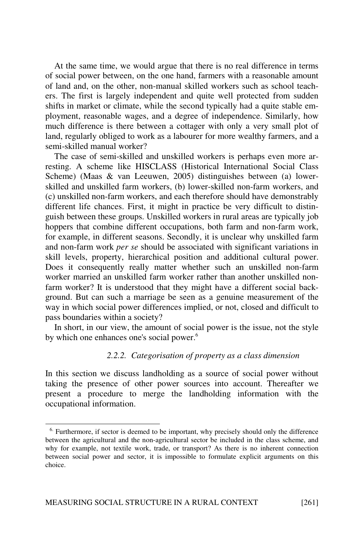At the same time, we would argue that there is no real difference in terms of social power between, on the one hand, farmers with a reasonable amount of land and, on the other, non-manual skilled workers such as school teachers. The first is largely independent and quite well protected from sudden shifts in market or climate, while the second typically had a quite stable employment, reasonable wages, and a degree of independence. Similarly, how much difference is there between a cottager with only a very small plot of land, regularly obliged to work as a labourer for more wealthy farmers, and a semi-skilled manual worker?

The case of semi-skilled and unskilled workers is perhaps even more arresting. A scheme like HISCLASS (Historical International Social Class Scheme) (Maas & van Leeuwen, 2005) distinguishes between (a) lowerskilled and unskilled farm workers, (b) lower-skilled non-farm workers, and (c) unskilled non-farm workers, and each therefore should have demonstrably different life chances. First, it might in practice be very difficult to distinguish between these groups. Unskilled workers in rural areas are typically job hoppers that combine different occupations, both farm and non-farm work, for example, in different seasons. Secondly, it is unclear why unskilled farm and non-farm work per se should be associated with significant variations in skill levels, property, hierarchical position and additional cultural power. Does it consequently really matter whether such an unskilled non-farm worker married an unskilled farm worker rather than another unskilled nonfarm worker? It is understood that they might have a different social background. But can such a marriage be seen as a genuine measurement of the way in which social power differences implied, or not, closed and difficult to pass boundaries within a society?

In short, in our view, the amount of social power is the issue, not the style by which one enhances one's social power.<sup>6</sup>

#### 2.2.2. Categorisation of property as a class dimension

In this section we discuss landholding as a source of social power without taking the presence of other power sources into account. Thereafter we present a procedure to merge the landholding information with the occupational information.

<sup>&</sup>lt;sup>6.</sup> Furthermore, if sector is deemed to be important, why precisely should only the difference between the agricultural and the non-agricultural sector be included in the class scheme, and why for example, not textile work, trade, or transport? As there is no inherent connection between social power and sector, it is impossible to formulate explicit arguments on this choice.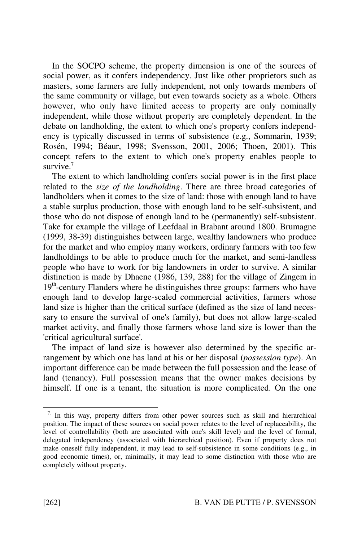In the SOCPO scheme, the property dimension is one of the sources of social power, as it confers independency. Just like other proprietors such as masters, some farmers are fully independent, not only towards members of the same community or village, but even towards society as a whole. Others however, who only have limited access to property are only nominally independent, while those without property are completely dependent. In the debate on landholding, the extent to which one's property confers independency is typically discussed in terms of subsistence (e.g., Sommarin, 1939; Rosén, 1994; Béaur, 1998; Svensson, 2001, 2006; Thoen, 2001). This concept refers to the extent to which one's property enables people to survive. $7$ 

The extent to which landholding confers social power is in the first place related to the size of the landholding. There are three broad categories of landholders when it comes to the size of land: those with enough land to have a stable surplus production, those with enough land to be self-subsistent, and those who do not dispose of enough land to be (permanently) self-subsistent. Take for example the village of Leefdaal in Brabant around 1800. Brumagne (1999, 38-39) distinguishes between large, wealthy landowners who produce for the market and who employ many workers, ordinary farmers with too few landholdings to be able to produce much for the market, and semi-landless people who have to work for big landowners in order to survive. A similar distinction is made by Dhaene (1986, 139, 288) for the village of Zingem in  $19<sup>th</sup>$ -century Flanders where he distinguishes three groups: farmers who have enough land to develop large-scaled commercial activities, farmers whose land size is higher than the critical surface (defined as the size of land necessary to ensure the survival of one's family), but does not allow large-scaled market activity, and finally those farmers whose land size is lower than the 'critical agricultural surface'.

The impact of land size is however also determined by the specific arrangement by which one has land at his or her disposal (*possession type*). An important difference can be made between the full possession and the lease of land (tenancy). Full possession means that the owner makes decisions by himself. If one is a tenant, the situation is more complicated. On the one

 $7.$  In this way, property differs from other power sources such as skill and hierarchical position. The impact of these sources on social power relates to the level of replaceability, the level of controllability (both are associated with one's skill level) and the level of formal, delegated independency (associated with hierarchical position). Even if property does not make oneself fully independent, it may lead to self-subsistence in some conditions (e.g., in good economic times), or, minimally, it may lead to some distinction with those who are completely without property.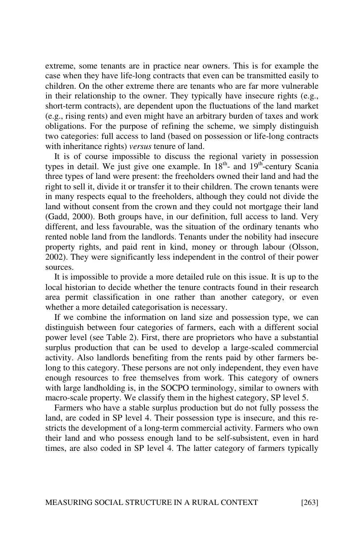extreme, some tenants are in practice near owners. This is for example the case when they have life-long contracts that even can be transmitted easily to children. On the other extreme there are tenants who are far more vulnerable in their relationship to the owner. They typically have insecure rights (e.g., short-term contracts), are dependent upon the fluctuations of the land market (e.g., rising rents) and even might have an arbitrary burden of taxes and work obligations. For the purpose of refining the scheme, we simply distinguish two categories: full access to land (based on possession or life-long contracts with inheritance rights) *versus* tenure of land.

It is of course impossible to discuss the regional variety in possession types in detail. We just give one example. In  $18<sup>th</sup>$ - and  $19<sup>th</sup>$ -century Scania three types of land were present: the freeholders owned their land and had the right to sell it, divide it or transfer it to their children. The crown tenants were in many respects equal to the freeholders, although they could not divide the land without consent from the crown and they could not mortgage their land (Gadd, 2000). Both groups have, in our definition, full access to land. Very different, and less favourable, was the situation of the ordinary tenants who rented noble land from the landlords. Tenants under the nobility had insecure property rights, and paid rent in kind, money or through labour (Olsson, 2002). They were significantly less independent in the control of their power sources.

It is impossible to provide a more detailed rule on this issue. It is up to the local historian to decide whether the tenure contracts found in their research area permit classification in one rather than another category, or even whether a more detailed categorisation is necessary.

If we combine the information on land size and possession type, we can distinguish between four categories of farmers, each with a different social power level (see Table 2). First, there are proprietors who have a substantial surplus production that can be used to develop a large-scaled commercial activity. Also landlords benefiting from the rents paid by other farmers belong to this category. These persons are not only independent, they even have enough resources to free themselves from work. This category of owners with large landholding is, in the SOCPO terminology, similar to owners with macro-scale property. We classify them in the highest category, SP level 5.

Farmers who have a stable surplus production but do not fully possess the land, are coded in SP level 4. Their possession type is insecure, and this restricts the development of a long-term commercial activity. Farmers who own their land and who possess enough land to be self-subsistent, even in hard times, are also coded in SP level 4. The latter category of farmers typically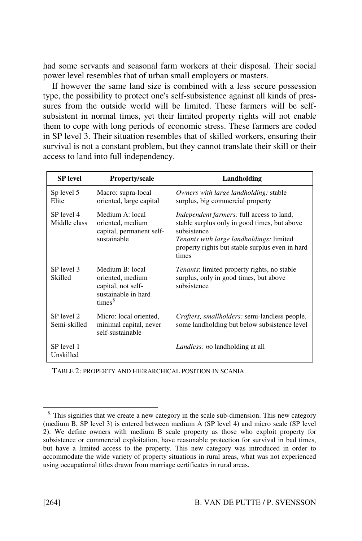had some servants and seasonal farm workers at their disposal. Their social power level resembles that of urban small employers or masters.

If however the same land size is combined with a less secure possession type, the possibility to protect one's self-subsistence against all kinds of pressures from the outside world will be limited. These farmers will be selfsubsistent in normal times, yet their limited property rights will not enable them to cope with long periods of economic stress. These farmers are coded in SP level 3. Their situation resembles that of skilled workers, ensuring their survival is not a constant problem, but they cannot translate their skill or their access to land into full independency.

| <b>SP</b> level            | <b>Property/scale</b>                                                                                  | Landholding                                                                                                                                                                                                             |
|----------------------------|--------------------------------------------------------------------------------------------------------|-------------------------------------------------------------------------------------------------------------------------------------------------------------------------------------------------------------------------|
| Sp level 5<br>Elite        | Macro: supra-local<br>oriented, large capital                                                          | Owners with large landholding: stable<br>surplus, big commercial property                                                                                                                                               |
| SP level 4<br>Middle class | Medium A: local<br>oriented, medium<br>capital, permanent self-<br>sustainable                         | Independent farmers: full access to land,<br>stable surplus only in good times, but above<br>subsistence<br><i>Tenants with large landholdings: limited</i><br>property rights but stable surplus even in hard<br>times |
| SP level 3<br>Skilled      | Medium B: local<br>oriented, medium<br>capital, not self-<br>sustainable in hard<br>times <sup>8</sup> | <i>Tenants:</i> limited property rights, no stable<br>surplus, only in good times, but above<br>subsistence                                                                                                             |
| SP level 2<br>Semi-skilled | Micro: local oriented,<br>minimal capital, never<br>self-sustainable                                   | <i>Crofters, smallholders:</i> semi-landless people,<br>some landholding but below subsistence level                                                                                                                    |
| SP level 1<br>Unskilled    |                                                                                                        | <i>Landless: no landholding at all</i>                                                                                                                                                                                  |

TABLE 2: PROPERTY AND HIERARCHICAL POSITION IN SCANIA

 $8.$  This signifies that we create a new category in the scale sub-dimension. This new category (medium B, SP level 3) is entered between medium A (SP level 4) and micro scale (SP level 2). We define owners with medium B scale property as those who exploit property for subsistence or commercial exploitation, have reasonable protection for survival in bad times, but have a limited access to the property. This new category was introduced in order to accommodate the wide variety of property situations in rural areas, what was not experienced using occupational titles drawn from marriage certificates in rural areas.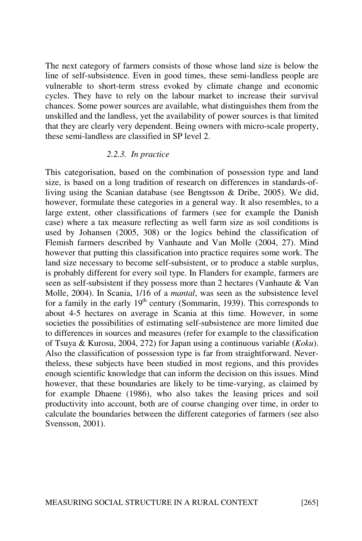The next category of farmers consists of those whose land size is below the line of self-subsistence. Even in good times, these semi-landless people are vulnerable to short-term stress evoked by climate change and economic cycles. They have to rely on the labour market to increase their survival chances. Some power sources are available, what distinguishes them from the unskilled and the landless, yet the availability of power sources is that limited that they are clearly very dependent. Being owners with micro-scale property, these semi-landless are classified in SP level 2.

# 2.2.3. In practice

This categorisation, based on the combination of possession type and land size, is based on a long tradition of research on differences in standards-ofliving using the Scanian database (see Bengtsson & Dribe, 2005). We did, however, formulate these categories in a general way. It also resembles, to a large extent, other classifications of farmers (see for example the Danish case) where a tax measure reflecting as well farm size as soil conditions is used by Johansen (2005, 308) or the logics behind the classification of Flemish farmers described by Vanhaute and Van Molle (2004, 27). Mind however that putting this classification into practice requires some work. The land size necessary to become self-subsistent, or to produce a stable surplus, is probably different for every soil type. In Flanders for example, farmers are seen as self-subsistent if they possess more than 2 hectares (Vanhaute & Van Molle, 2004). In Scania, 1/16 of a mantal, was seen as the subsistence level for a family in the early  $19<sup>th</sup>$  century (Sommarin, 1939). This corresponds to about 4-5 hectares on average in Scania at this time. However, in some societies the possibilities of estimating self-subsistence are more limited due to differences in sources and measures (refer for example to the classification of Tsuya & Kurosu, 2004, 272) for Japan using a continuous variable (Koku). Also the classification of possession type is far from straightforward. Nevertheless, these subjects have been studied in most regions, and this provides enough scientific knowledge that can inform the decision on this issues. Mind however, that these boundaries are likely to be time-varying, as claimed by for example Dhaene (1986), who also takes the leasing prices and soil productivity into account, both are of course changing over time, in order to calculate the boundaries between the different categories of farmers (see also Svensson, 2001).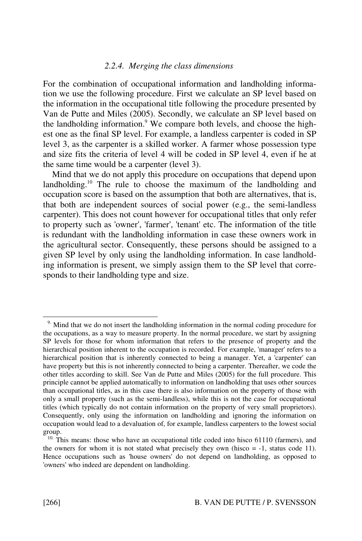#### 2.2.4. Merging the class dimensions

For the combination of occupational information and landholding information we use the following procedure. First we calculate an SP level based on the information in the occupational title following the procedure presented by Van de Putte and Miles (2005). Secondly, we calculate an SP level based on the landholding information.<sup>9</sup> We compare both levels, and choose the highest one as the final SP level. For example, a landless carpenter is coded in SP level 3, as the carpenter is a skilled worker. A farmer whose possession type and size fits the criteria of level 4 will be coded in SP level 4, even if he at the same time would be a carpenter (level 3).

Mind that we do not apply this procedure on occupations that depend upon landholding.<sup>10</sup> The rule to choose the maximum of the landholding and occupation score is based on the assumption that both are alternatives, that is, that both are independent sources of social power (e.g., the semi-landless carpenter). This does not count however for occupational titles that only refer to property such as 'owner', 'farmer', 'tenant' etc. The information of the title is redundant with the landholding information in case these owners work in the agricultural sector. Consequently, these persons should be assigned to a given SP level by only using the landholding information. In case landholding information is present, we simply assign them to the SP level that corresponds to their landholding type and size.

<sup>&</sup>lt;sup>9.</sup> Mind that we do not insert the landholding information in the normal coding procedure for the occupations, as a way to measure property. In the normal procedure, we start by assigning SP levels for those for whom information that refers to the presence of property and the hierarchical position inherent to the occupation is recorded. For example, 'manager' refers to a hierarchical position that is inherently connected to being a manager. Yet, a 'carpenter' can have property but this is not inherently connected to being a carpenter. Thereafter, we code the other titles according to skill. See Van de Putte and Miles (2005) for the full procedure. This principle cannot be applied automatically to information on landholding that uses other sources than occupational titles, as in this case there is also information on the property of those with only a small property (such as the semi-landless), while this is not the case for occupational titles (which typically do not contain information on the property of very small proprietors). Consequently, only using the information on landholding and ignoring the information on occupation would lead to a devaluation of, for example, landless carpenters to the lowest social group.

<sup>&</sup>lt;sup>10.</sup> This means: those who have an occupational title coded into hisco 61110 (farmers), and the owners for whom it is not stated what precisely they own (hisco  $= -1$ , status code 11). Hence occupations such as 'house owners' do not depend on landholding, as opposed to 'owners' who indeed are dependent on landholding.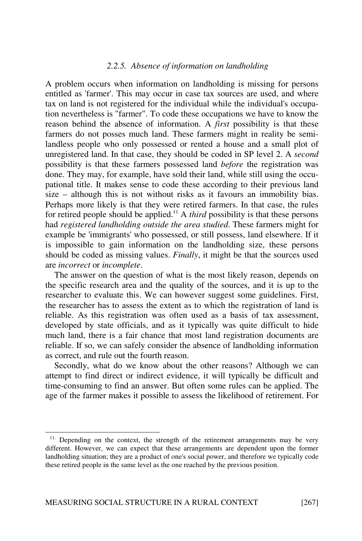#### 2.2.5. Absence of information on landholding

A problem occurs when information on landholding is missing for persons entitled as 'farmer'. This may occur in case tax sources are used, and where tax on land is not registered for the individual while the individual's occupation nevertheless is "farmer". To code these occupations we have to know the reason behind the absence of information. A first possibility is that these farmers do not posses much land. These farmers might in reality be semilandless people who only possessed or rented a house and a small plot of unregistered land. In that case, they should be coded in SP level 2. A second possibility is that these farmers possessed land before the registration was done. They may, for example, have sold their land, while still using the occupational title. It makes sense to code these according to their previous land size – although this is not without risks as it favours an immobility bias. Perhaps more likely is that they were retired farmers. In that case, the rules for retired people should be applied.<sup>11</sup> A *third* possibility is that these persons had registered landholding outside the area studied. These farmers might for example be 'immigrants' who possessed, or still possess, land elsewhere. If it is impossible to gain information on the landholding size, these persons should be coded as missing values. Finally, it might be that the sources used are incorrect or incomplete.

The answer on the question of what is the most likely reason, depends on the specific research area and the quality of the sources, and it is up to the researcher to evaluate this. We can however suggest some guidelines. First, the researcher has to assess the extent as to which the registration of land is reliable. As this registration was often used as a basis of tax assessment, developed by state officials, and as it typically was quite difficult to hide much land, there is a fair chance that most land registration documents are reliable. If so, we can safely consider the absence of landholding information as correct, and rule out the fourth reason.

Secondly, what do we know about the other reasons? Although we can attempt to find direct or indirect evidence, it will typically be difficult and time-consuming to find an answer. But often some rules can be applied. The age of the farmer makes it possible to assess the likelihood of retirement. For

<sup>&</sup>lt;sup>11.</sup> Depending on the context, the strength of the retirement arrangements may be very different. However, we can expect that these arrangements are dependent upon the former landholding situation; they are a product of one's social power, and therefore we typically code these retired people in the same level as the one reached by the previous position.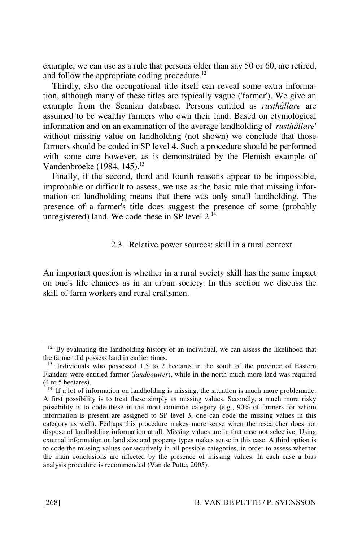example, we can use as a rule that persons older than say 50 or 60, are retired, and follow the appropriate coding procedure.<sup>12</sup>

Thirdly, also the occupational title itself can reveal some extra information, although many of these titles are typically vague ('farmer'). We give an example from the Scanian database. Persons entitled as rusthållare are assumed to be wealthy farmers who own their land. Based on etymological information and on an examination of the average landholding of 'rusthållare' without missing value on landholding (not shown) we conclude that those farmers should be coded in SP level 4. Such a procedure should be performed with some care however, as is demonstrated by the Flemish example of Vandenbroeke  $(1984, 145)$ .<sup>13</sup>

Finally, if the second, third and fourth reasons appear to be impossible, improbable or difficult to assess, we use as the basic rule that missing information on landholding means that there was only small landholding. The presence of a farmer's title does suggest the presence of some (probably unregistered) land. We code these in SP level  $2^{14}$ 

#### 2.3. Relative power sources: skill in a rural context

An important question is whether in a rural society skill has the same impact on one's life chances as in an urban society. In this section we discuss the skill of farm workers and rural craftsmen.

<sup>&</sup>lt;sup>12.</sup> By evaluating the landholding history of an individual, we can assess the likelihood that the farmer did possess land in earlier times.

<sup>&</sup>lt;sup>13.</sup> Individuals who possessed 1.5 to 2 hectares in the south of the province of Eastern Flanders were entitled farmer (landbouwer), while in the north much more land was required (4 to 5 hectares).

 $14.$  If a lot of information on landholding is missing, the situation is much more problematic. A first possibility is to treat these simply as missing values. Secondly, a much more risky possibility is to code these in the most common category (e.g., 90% of farmers for whom information is present are assigned to SP level 3, one can code the missing values in this category as well). Perhaps this procedure makes more sense when the researcher does not dispose of landholding information at all. Missing values are in that case not selective. Using external information on land size and property types makes sense in this case. A third option is to code the missing values consecutively in all possible categories, in order to assess whether the main conclusions are affected by the presence of missing values. In each case a bias analysis procedure is recommended (Van de Putte, 2005).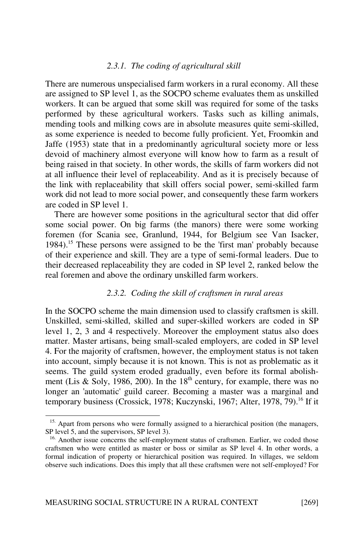#### 2.3.1. The coding of agricultural skill

There are numerous unspecialised farm workers in a rural economy. All these are assigned to SP level 1, as the SOCPO scheme evaluates them as unskilled workers. It can be argued that some skill was required for some of the tasks performed by these agricultural workers. Tasks such as killing animals, mending tools and milking cows are in absolute measures quite semi-skilled, as some experience is needed to become fully proficient. Yet, Froomkin and Jaffe (1953) state that in a predominantly agricultural society more or less devoid of machinery almost everyone will know how to farm as a result of being raised in that society. In other words, the skills of farm workers did not at all influence their level of replaceability. And as it is precisely because of the link with replaceability that skill offers social power, semi-skilled farm work did not lead to more social power, and consequently these farm workers are coded in SP level 1.

There are however some positions in the agricultural sector that did offer some social power. On big farms (the manors) there were some working foremen (for Scania see, Granlund, 1944, for Belgium see Van Isacker, 1984).<sup>15</sup> These persons were assigned to be the 'first man' probably because of their experience and skill. They are a type of semi-formal leaders. Due to their decreased replaceability they are coded in SP level 2, ranked below the real foremen and above the ordinary unskilled farm workers.

#### 2.3.2. Coding the skill of craftsmen in rural areas

In the SOCPO scheme the main dimension used to classify craftsmen is skill. Unskilled, semi-skilled, skilled and super-skilled workers are coded in SP level 1, 2, 3 and 4 respectively. Moreover the employment status also does matter. Master artisans, being small-scaled employers, are coded in SP level 4. For the majority of craftsmen, however, the employment status is not taken into account, simply because it is not known. This is not as problematic as it seems. The guild system eroded gradually, even before its formal abolishment (Lis & Soly, 1986, 200). In the  $18<sup>th</sup>$  century, for example, there was no longer an 'automatic' guild career. Becoming a master was a marginal and temporary business (Crossick, 1978; Kuczynski, 1967; Alter, 1978, 79).<sup>16</sup> If it

<sup>&</sup>lt;sup>15.</sup> Apart from persons who were formally assigned to a hierarchical position (the managers, SP level 5, and the supervisors, SP level 3).

<sup>&</sup>lt;sup>16.</sup> Another issue concerns the self-employment status of craftsmen. Earlier, we coded those craftsmen who were entitled as master or boss or similar as SP level 4. In other words, a formal indication of property or hierarchical position was required. In villages, we seldom observe such indications. Does this imply that all these craftsmen were not self-employed? For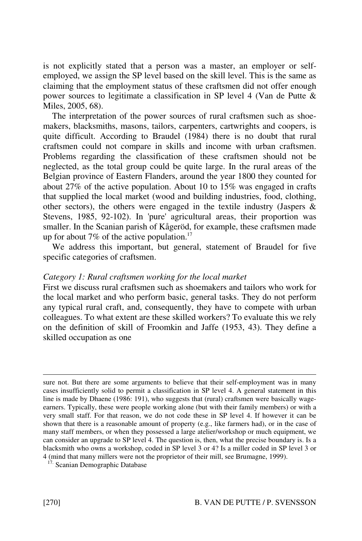is not explicitly stated that a person was a master, an employer or selfemployed, we assign the SP level based on the skill level. This is the same as claiming that the employment status of these craftsmen did not offer enough power sources to legitimate a classification in SP level 4 (Van de Putte & Miles, 2005, 68).

The interpretation of the power sources of rural craftsmen such as shoemakers, blacksmiths, masons, tailors, carpenters, cartwrights and coopers, is quite difficult. According to Braudel (1984) there is no doubt that rural craftsmen could not compare in skills and income with urban craftsmen. Problems regarding the classification of these craftsmen should not be neglected, as the total group could be quite large. In the rural areas of the Belgian province of Eastern Flanders, around the year 1800 they counted for about 27% of the active population. About 10 to 15% was engaged in crafts that supplied the local market (wood and building industries, food, clothing, other sectors), the others were engaged in the textile industry (Jaspers  $\&$ Stevens, 1985, 92-102). In 'pure' agricultural areas, their proportion was smaller. In the Scanian parish of Kågeröd, for example, these craftsmen made up for about 7% of the active population.<sup>17</sup>

We address this important, but general, statement of Braudel for five specific categories of craftsmen.

#### Category 1: Rural craftsmen working for the local market

First we discuss rural craftsmen such as shoemakers and tailors who work for the local market and who perform basic, general tasks. They do not perform any typical rural craft, and, consequently, they have to compete with urban colleagues. To what extent are these skilled workers? To evaluate this we rely on the definition of skill of Froomkin and Jaffe (1953, 43). They define a skilled occupation as one

sure not. But there are some arguments to believe that their self-employment was in many cases insufficiently solid to permit a classification in SP level 4. A general statement in this line is made by Dhaene (1986: 191), who suggests that (rural) craftsmen were basically wageearners. Typically, these were people working alone (but with their family members) or with a very small staff. For that reason, we do not code these in SP level 4. If however it can be shown that there is a reasonable amount of property (e.g., like farmers had), or in the case of many staff members, or when they possessed a large atelier/workshop or much equipment, we can consider an upgrade to SP level 4. The question is, then, what the precise boundary is. Is a blacksmith who owns a workshop, coded in SP level 3 or 4? Is a miller coded in SP level 3 or 4 (mind that many millers were not the proprietor of their mill, see Brumagne, 1999).

<sup>17.</sup> Scanian Demographic Database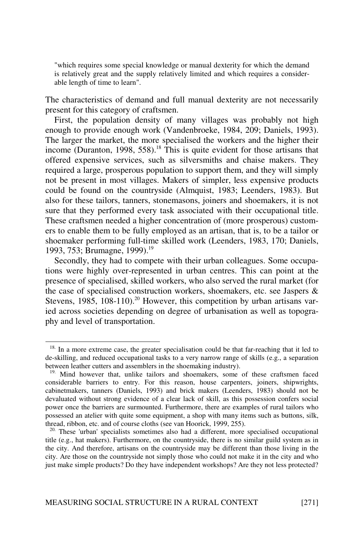"which requires some special knowledge or manual dexterity for which the demand is relatively great and the supply relatively limited and which requires a considerable length of time to learn".

The characteristics of demand and full manual dexterity are not necessarily present for this category of craftsmen.

First, the population density of many villages was probably not high enough to provide enough work (Vandenbroeke, 1984, 209; Daniels, 1993). The larger the market, the more specialised the workers and the higher their income (Duranton, 1998, 558).<sup>18</sup> This is quite evident for those artisans that offered expensive services, such as silversmiths and chaise makers. They required a large, prosperous population to support them, and they will simply not be present in most villages. Makers of simpler, less expensive products could be found on the countryside (Almquist, 1983; Leenders, 1983). But also for these tailors, tanners, stonemasons, joiners and shoemakers, it is not sure that they performed every task associated with their occupational title. These craftsmen needed a higher concentration of (more prosperous) customers to enable them to be fully employed as an artisan, that is, to be a tailor or shoemaker performing full-time skilled work (Leenders, 1983, 170; Daniels, 1993, 753; Brumagne, 1999).<sup>19</sup>

Secondly, they had to compete with their urban colleagues. Some occupations were highly over-represented in urban centres. This can point at the presence of specialised, skilled workers, who also served the rural market (for the case of specialised construction workers, shoemakers, etc. see Jaspers & Stevens,  $1985$ ,  $108-110$ ).<sup>20</sup> However, this competition by urban artisans varied across societies depending on degree of urbanisation as well as topography and level of transportation.

<sup>&</sup>lt;sup>18.</sup> In a more extreme case, the greater specialisation could be that far-reaching that it led to de-skilling, and reduced occupational tasks to a very narrow range of skills (e.g., a separation between leather cutters and assemblers in the shoemaking industry).

<sup>&</sup>lt;sup>19.</sup> Mind however that, unlike tailors and shoemakers, some of these craftsmen faced considerable barriers to entry. For this reason, house carpenters, joiners, shipwrights, cabinetmakers, tanners (Daniels, 1993) and brick makers (Leenders, 1983) should not be devaluated without strong evidence of a clear lack of skill, as this possession confers social power once the barriers are surmounted. Furthermore, there are examples of rural tailors who possessed an atelier with quite some equipment, a shop with many items such as buttons, silk, thread, ribbon, etc. and of course cloths (see van Hoorick, 1999, 255).

<sup>&</sup>lt;sup>20.</sup> These 'urban' specialists sometimes also had a different, more specialised occupational title (e.g., hat makers). Furthermore, on the countryside, there is no similar guild system as in the city. And therefore, artisans on the countryside may be different than those living in the city. Are those on the countryside not simply those who could not make it in the city and who just make simple products? Do they have independent workshops? Are they not less protected?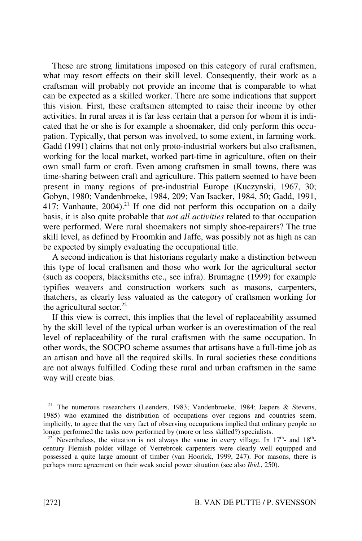These are strong limitations imposed on this category of rural craftsmen, what may resort effects on their skill level. Consequently, their work as a craftsman will probably not provide an income that is comparable to what can be expected as a skilled worker. There are some indications that support this vision. First, these craftsmen attempted to raise their income by other activities. In rural areas it is far less certain that a person for whom it is indicated that he or she is for example a shoemaker, did only perform this occupation. Typically, that person was involved, to some extent, in farming work. Gadd (1991) claims that not only proto-industrial workers but also craftsmen, working for the local market, worked part-time in agriculture, often on their own small farm or croft. Even among craftsmen in small towns, there was time-sharing between craft and agriculture. This pattern seemed to have been present in many regions of pre-industrial Europe (Kuczynski, 1967, 30; Gobyn, 1980; Vandenbroeke, 1984, 209; Van Isacker, 1984, 50; Gadd, 1991, 417; Vanhaute,  $2004$ <sup>21</sup> If one did not perform this occupation on a daily basis, it is also quite probable that not all activities related to that occupation were performed. Were rural shoemakers not simply shoe-repairers? The true skill level, as defined by Froomkin and Jaffe, was possibly not as high as can be expected by simply evaluating the occupational title.

A second indication is that historians regularly make a distinction between this type of local craftsmen and those who work for the agricultural sector (such as coopers, blacksmiths etc., see infra). Brumagne (1999) for example typifies weavers and construction workers such as masons, carpenters, thatchers, as clearly less valuated as the category of craftsmen working for the agricultural sector. $22$ 

If this view is correct, this implies that the level of replaceability assumed by the skill level of the typical urban worker is an overestimation of the real level of replaceability of the rural craftsmen with the same occupation. In other words, the SOCPO scheme assumes that artisans have a full-time job as an artisan and have all the required skills. In rural societies these conditions are not always fulfilled. Coding these rural and urban craftsmen in the same way will create bias.

<sup>21.</sup> The numerous researchers (Leenders, 1983; Vandenbroeke, 1984; Jaspers & Stevens, 1985) who examined the distribution of occupations over regions and countries seem, implicitly, to agree that the very fact of observing occupations implied that ordinary people no longer performed the tasks now performed by (more or less skilled?) specialists.

<sup>&</sup>lt;sup>2.</sup> Nevertheless, the situation is not always the same in every village. In  $17<sup>th</sup>$  and  $18<sup>th</sup>$ century Flemish polder village of Verrebroek carpenters were clearly well equipped and possessed a quite large amount of timber (van Hoorick, 1999, 247). For masons, there is perhaps more agreement on their weak social power situation (see also Ibid., 250).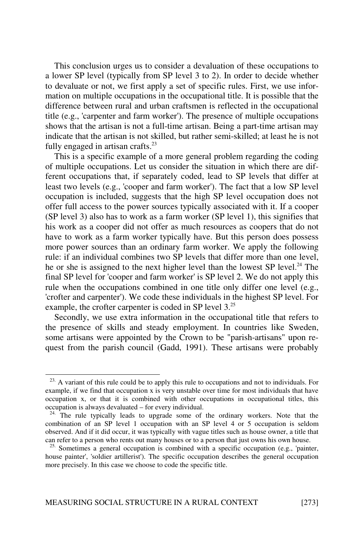This conclusion urges us to consider a devaluation of these occupations to a lower SP level (typically from SP level 3 to 2). In order to decide whether to devaluate or not, we first apply a set of specific rules. First, we use information on multiple occupations in the occupational title. It is possible that the difference between rural and urban craftsmen is reflected in the occupational title (e.g., 'carpenter and farm worker'). The presence of multiple occupations shows that the artisan is not a full-time artisan. Being a part-time artisan may indicate that the artisan is not skilled, but rather semi-skilled; at least he is not fully engaged in artisan crafts. $^{23}$ 

This is a specific example of a more general problem regarding the coding of multiple occupations. Let us consider the situation in which there are different occupations that, if separately coded, lead to SP levels that differ at least two levels (e.g., 'cooper and farm worker'). The fact that a low SP level occupation is included, suggests that the high SP level occupation does not offer full access to the power sources typically associated with it. If a cooper (SP level 3) also has to work as a farm worker (SP level 1), this signifies that his work as a cooper did not offer as much resources as coopers that do not have to work as a farm worker typically have. But this person does possess more power sources than an ordinary farm worker. We apply the following rule: if an individual combines two SP levels that differ more than one level, he or she is assigned to the next higher level than the lowest SP level.<sup>24</sup> The final SP level for 'cooper and farm worker' is SP level 2. We do not apply this rule when the occupations combined in one title only differ one level (e.g., 'crofter and carpenter'). We code these individuals in the highest SP level. For example, the crofter carpenter is coded in SP level 3.<sup>25</sup>

Secondly, we use extra information in the occupational title that refers to the presence of skills and steady employment. In countries like Sweden, some artisans were appointed by the Crown to be "parish-artisans" upon request from the parish council (Gadd, 1991). These artisans were probably

 $23.$  A variant of this rule could be to apply this rule to occupations and not to individuals. For example, if we find that occupation x is very unstable over time for most individuals that have occupation x, or that it is combined with other occupations in occupational titles, this occupation is always devaluated – for every individual.

<sup>&</sup>lt;sup>24.</sup> The rule typically leads to upgrade some of the ordinary workers. Note that the combination of an SP level 1 occupation with an SP level 4 or 5 occupation is seldom observed. And if it did occur, it was typically with vague titles such as house owner, a title that can refer to a person who rents out many houses or to a person that just owns his own house.

 $25.$  Sometimes a general occupation is combined with a specific occupation (e.g., 'painter, house painter', 'soldier artillerist'). The specific occupation describes the general occupation more precisely. In this case we choose to code the specific title.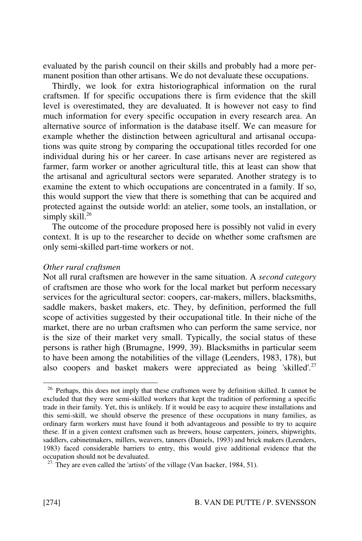evaluated by the parish council on their skills and probably had a more permanent position than other artisans. We do not devaluate these occupations.

Thirdly, we look for extra historiographical information on the rural craftsmen. If for specific occupations there is firm evidence that the skill level is overestimated, they are devaluated. It is however not easy to find much information for every specific occupation in every research area. An alternative source of information is the database itself. We can measure for example whether the distinction between agricultural and artisanal occupations was quite strong by comparing the occupational titles recorded for one individual during his or her career. In case artisans never are registered as farmer, farm worker or another agricultural title, this at least can show that the artisanal and agricultural sectors were separated. Another strategy is to examine the extent to which occupations are concentrated in a family. If so, this would support the view that there is something that can be acquired and protected against the outside world: an atelier, some tools, an installation, or simply skill.<sup>26</sup>

The outcome of the procedure proposed here is possibly not valid in every context. It is up to the researcher to decide on whether some craftsmen are only semi-skilled part-time workers or not.

#### Other rural craftsmen

Not all rural craftsmen are however in the same situation. A second category of craftsmen are those who work for the local market but perform necessary services for the agricultural sector: coopers, car-makers, millers, blacksmiths, saddle makers, basket makers, etc. They, by definition, performed the full scope of activities suggested by their occupational title. In their niche of the market, there are no urban craftsmen who can perform the same service, nor is the size of their market very small. Typically, the social status of these persons is rather high (Brumagne, 1999, 39). Blacksmiths in particular seem to have been among the notabilities of the village (Leenders, 1983, 178), but also coopers and basket makers were appreciated as being 'skilled'.<sup>27</sup>

<sup>&</sup>lt;sup>26.</sup> Perhaps, this does not imply that these craftsmen were by definition skilled. It cannot be excluded that they were semi-skilled workers that kept the tradition of performing a specific trade in their family. Yet, this is unlikely. If it would be easy to acquire these installations and this semi-skill, we should observe the presence of these occupations in many families, as ordinary farm workers must have found it both advantageous and possible to try to acquire these. If in a given context craftsmen such as brewers, house carpenters, joiners, shipwrights, saddlers, cabinetmakers, millers, weavers, tanners (Daniels, 1993) and brick makers (Leenders, 1983) faced considerable barriers to entry, this would give additional evidence that the occupation should not be devaluated.

<sup>&</sup>lt;sup>27.</sup> They are even called the 'artists' of the village (Van Isacker, 1984, 51).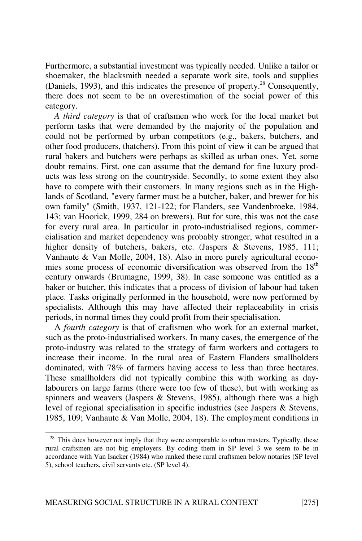Furthermore, a substantial investment was typically needed. Unlike a tailor or shoemaker, the blacksmith needed a separate work site, tools and supplies (Daniels, 1993), and this indicates the presence of property.<sup>28</sup> Consequently, there does not seem to be an overestimation of the social power of this category.

A third category is that of craftsmen who work for the local market but perform tasks that were demanded by the majority of the population and could not be performed by urban competitors (e.g., bakers, butchers, and other food producers, thatchers). From this point of view it can be argued that rural bakers and butchers were perhaps as skilled as urban ones. Yet, some doubt remains. First, one can assume that the demand for fine luxury products was less strong on the countryside. Secondly, to some extent they also have to compete with their customers. In many regions such as in the Highlands of Scotland, "every farmer must be a butcher, baker, and brewer for his own family" (Smith, 1937, 121-122; for Flanders, see Vandenbroeke, 1984, 143; van Hoorick, 1999, 284 on brewers). But for sure, this was not the case for every rural area. In particular in proto-industrialised regions, commercialisation and market dependency was probably stronger, what resulted in a higher density of butchers, bakers, etc. (Jaspers & Stevens, 1985, 111; Vanhaute & Van Molle, 2004, 18). Also in more purely agricultural economies some process of economic diversification was observed from the 18<sup>th</sup> century onwards (Brumagne, 1999, 38). In case someone was entitled as a baker or butcher, this indicates that a process of division of labour had taken place. Tasks originally performed in the household, were now performed by specialists. Although this may have affected their replaceability in crisis periods, in normal times they could profit from their specialisation.

A fourth category is that of craftsmen who work for an external market, such as the proto-industrialised workers. In many cases, the emergence of the proto-industry was related to the strategy of farm workers and cottagers to increase their income. In the rural area of Eastern Flanders smallholders dominated, with 78% of farmers having access to less than three hectares. These smallholders did not typically combine this with working as daylabourers on large farms (there were too few of these), but with working as spinners and weavers (Jaspers & Stevens, 1985), although there was a high level of regional specialisation in specific industries (see Jaspers & Stevens, 1985, 109; Vanhaute & Van Molle, 2004, 18). The employment conditions in

<sup>&</sup>lt;sup>28.</sup> This does however not imply that they were comparable to urban masters. Typically, these rural craftsmen are not big employers. By coding them in SP level 3 we seem to be in accordance with Van Isacker (1984) who ranked these rural craftsmen below notaries (SP level 5), school teachers, civil servants etc. (SP level 4).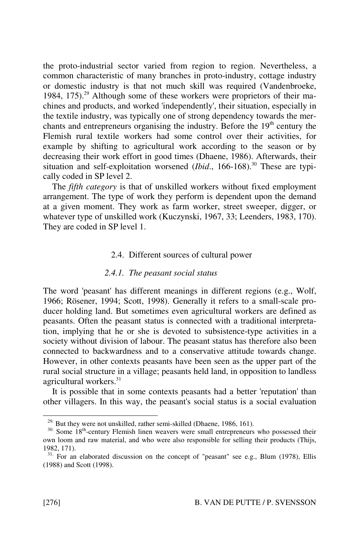the proto-industrial sector varied from region to region. Nevertheless, a common characteristic of many branches in proto-industry, cottage industry or domestic industry is that not much skill was required (Vandenbroeke, 1984, 175).<sup>29</sup> Although some of these workers were proprietors of their machines and products, and worked 'independently', their situation, especially in the textile industry, was typically one of strong dependency towards the merchants and entrepreneurs organising the industry. Before the 19<sup>th</sup> century the Flemish rural textile workers had some control over their activities, for example by shifting to agricultural work according to the season or by decreasing their work effort in good times (Dhaene, 1986). Afterwards, their situation and self-exploitation worsened (*Ibid.*, 166-168).<sup>30</sup> These are typically coded in SP level 2.

The *fifth category* is that of unskilled workers without fixed employment arrangement. The type of work they perform is dependent upon the demand at a given moment. They work as farm worker, street sweeper, digger, or whatever type of unskilled work (Kuczynski, 1967, 33; Leenders, 1983, 170). They are coded in SP level 1.

#### 2.4. Different sources of cultural power

#### 2.4.1. The peasant social status

The word 'peasant' has different meanings in different regions (e.g., Wolf, 1966; Rösener, 1994; Scott, 1998). Generally it refers to a small-scale producer holding land. But sometimes even agricultural workers are defined as peasants. Often the peasant status is connected with a traditional interpretation, implying that he or she is devoted to subsistence-type activities in a society without division of labour. The peasant status has therefore also been connected to backwardness and to a conservative attitude towards change. However, in other contexts peasants have been seen as the upper part of the rural social structure in a village; peasants held land, in opposition to landless agricultural workers.<sup>31</sup>

It is possible that in some contexts peasants had a better 'reputation' than other villagers. In this way, the peasant's social status is a social evaluation

<sup>&</sup>lt;sup>29.</sup> But they were not unskilled, rather semi-skilled (Dhaene, 1986, 161).  $30.$  Some 18<sup>th</sup>-century Flemish linen weavers were small entrepreneurs who possessed their own loom and raw material, and who were also responsible for selling their products (Thijs, 1982, 171).

<sup>&</sup>lt;sup>31.</sup> For an elaborated discussion on the concept of "peasant" see e.g., Blum (1978), Ellis (1988) and Scott (1998).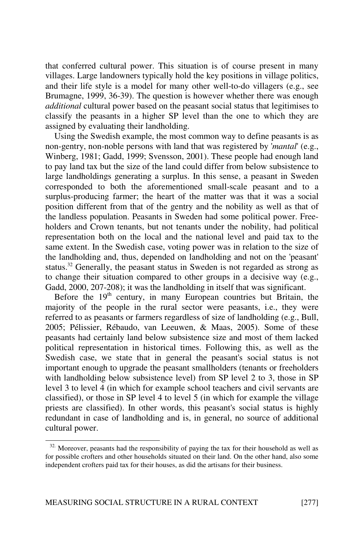that conferred cultural power. This situation is of course present in many villages. Large landowners typically hold the key positions in village politics, and their life style is a model for many other well-to-do villagers (e.g., see Brumagne, 1999, 36-39). The question is however whether there was enough additional cultural power based on the peasant social status that legitimises to classify the peasants in a higher SP level than the one to which they are assigned by evaluating their landholding.

Using the Swedish example, the most common way to define peasants is as non-gentry, non-noble persons with land that was registered by 'mantal' (e.g., Winberg, 1981; Gadd, 1999; Svensson, 2001). These people had enough land to pay land tax but the size of the land could differ from below subsistence to large landholdings generating a surplus. In this sense, a peasant in Sweden corresponded to both the aforementioned small-scale peasant and to a surplus-producing farmer; the heart of the matter was that it was a social position different from that of the gentry and the nobility as well as that of the landless population. Peasants in Sweden had some political power. Freeholders and Crown tenants, but not tenants under the nobility, had political representation both on the local and the national level and paid tax to the same extent. In the Swedish case, voting power was in relation to the size of the landholding and, thus, depended on landholding and not on the 'peasant' status.<sup>32</sup> Generally, the peasant status in Sweden is not regarded as strong as to change their situation compared to other groups in a decisive way (e.g., Gadd, 2000, 207-208); it was the landholding in itself that was significant.

Before the  $19<sup>th</sup>$  century, in many European countries but Britain, the majority of the people in the rural sector were peasants, i.e., they were referred to as peasants or farmers regardless of size of landholding (e.g., Bull, 2005; Pélissier, Rébaudo, van Leeuwen, & Maas, 2005). Some of these peasants had certainly land below subsistence size and most of them lacked political representation in historical times. Following this, as well as the Swedish case, we state that in general the peasant's social status is not important enough to upgrade the peasant smallholders (tenants or freeholders with landholding below subsistence level) from SP level 2 to 3, those in SP level 3 to level 4 (in which for example school teachers and civil servants are classified), or those in SP level 4 to level 5 (in which for example the village priests are classified). In other words, this peasant's social status is highly redundant in case of landholding and is, in general, no source of additional cultural power.

<sup>&</sup>lt;sup>32.</sup> Moreover, peasants had the responsibility of paying the tax for their household as well as for possible crofters and other households situated on their land. On the other hand, also some independent crofters paid tax for their houses, as did the artisans for their business.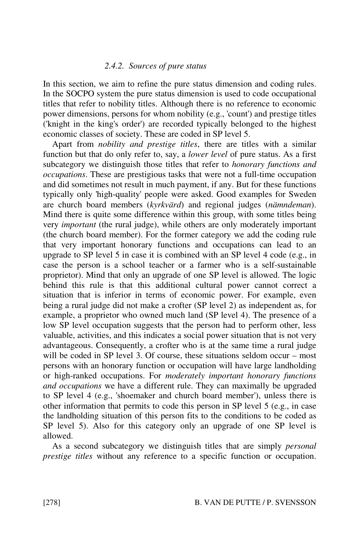#### 2.4.2. Sources of pure status

In this section, we aim to refine the pure status dimension and coding rules. In the SOCPO system the pure status dimension is used to code occupational titles that refer to nobility titles. Although there is no reference to economic power dimensions, persons for whom nobility (e.g., 'count') and prestige titles ('knight in the king's order') are recorded typically belonged to the highest economic classes of society. These are coded in SP level 5.

Apart from nobility and prestige titles, there are titles with a similar function but that do only refer to, say, a *lower level* of pure status. As a first subcategory we distinguish those titles that refer to *honorary functions and* occupations. These are prestigious tasks that were not a full-time occupation and did sometimes not result in much payment, if any. But for these functions typically only 'high-quality' people were asked. Good examples for Sweden are church board members (kyrkvärd) and regional judges (nämndeman). Mind there is quite some difference within this group, with some titles being very important (the rural judge), while others are only moderately important (the church board member). For the former category we add the coding rule that very important honorary functions and occupations can lead to an upgrade to SP level 5 in case it is combined with an SP level 4 code (e.g., in case the person is a school teacher or a farmer who is a self-sustainable proprietor). Mind that only an upgrade of one SP level is allowed. The logic behind this rule is that this additional cultural power cannot correct a situation that is inferior in terms of economic power. For example, even being a rural judge did not make a crofter (SP level 2) as independent as, for example, a proprietor who owned much land (SP level 4). The presence of a low SP level occupation suggests that the person had to perform other, less valuable, activities, and this indicates a social power situation that is not very advantageous. Consequently, a crofter who is at the same time a rural judge will be coded in SP level 3. Of course, these situations seldom occur – most persons with an honorary function or occupation will have large landholding or high-ranked occupations. For moderately important honorary functions and occupations we have a different rule. They can maximally be upgraded to SP level 4 (e.g., 'shoemaker and church board member'), unless there is other information that permits to code this person in SP level 5 (e.g., in case the landholding situation of this person fits to the conditions to be coded as SP level 5). Also for this category only an upgrade of one SP level is allowed.

As a second subcategory we distinguish titles that are simply personal prestige titles without any reference to a specific function or occupation.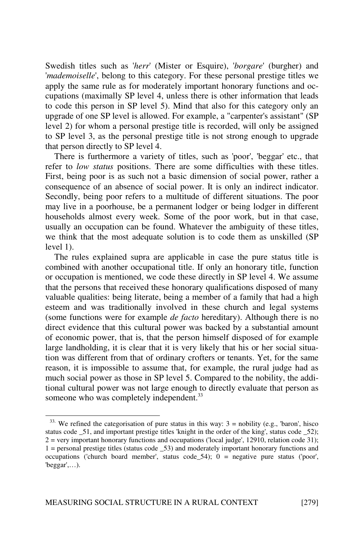Swedish titles such as 'herr' (Mister or Esquire), 'borgare' (burgher) and 'mademoiselle', belong to this category. For these personal prestige titles we apply the same rule as for moderately important honorary functions and occupations (maximally SP level 4, unless there is other information that leads to code this person in SP level 5). Mind that also for this category only an upgrade of one SP level is allowed. For example, a "carpenter's assistant" (SP level 2) for whom a personal prestige title is recorded, will only be assigned to SP level 3, as the personal prestige title is not strong enough to upgrade that person directly to SP level 4.

There is furthermore a variety of titles, such as 'poor', 'beggar' etc., that refer to low status positions. There are some difficulties with these titles. First, being poor is as such not a basic dimension of social power, rather a consequence of an absence of social power. It is only an indirect indicator. Secondly, being poor refers to a multitude of different situations. The poor may live in a poorhouse, be a permanent lodger or being lodger in different households almost every week. Some of the poor work, but in that case, usually an occupation can be found. Whatever the ambiguity of these titles, we think that the most adequate solution is to code them as unskilled (SP level 1).

The rules explained supra are applicable in case the pure status title is combined with another occupational title. If only an honorary title, function or occupation is mentioned, we code these directly in SP level 4. We assume that the persons that received these honorary qualifications disposed of many valuable qualities: being literate, being a member of a family that had a high esteem and was traditionally involved in these church and legal systems (some functions were for example de facto hereditary). Although there is no direct evidence that this cultural power was backed by a substantial amount of economic power, that is, that the person himself disposed of for example large landholding, it is clear that it is very likely that his or her social situation was different from that of ordinary crofters or tenants. Yet, for the same reason, it is impossible to assume that, for example, the rural judge had as much social power as those in SP level 5. Compared to the nobility, the additional cultural power was not large enough to directly evaluate that person as someone who was completely independent.<sup>33</sup>

 $33.$  We refined the categorisation of pure status in this way:  $3 =$  nobility (e.g., 'baron', hisco status code \_51, and important prestige titles 'knight in the order of the king', status code \_52);  $2 =$  very important honorary functions and occupations ('local judge', 12910, relation code 31); 1 = personal prestige titles (status code \_53) and moderately important honorary functions and occupations ('church board member', status code  $54$ ); 0 = negative pure status ('poor', 'beggar',…).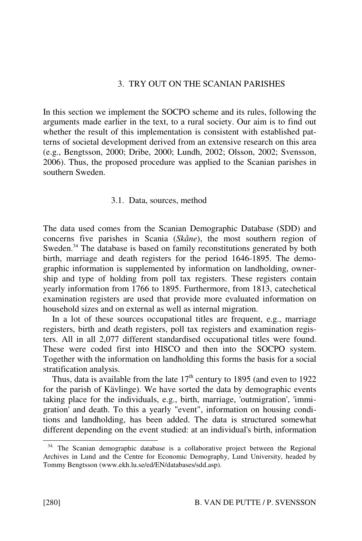# 3. TRY OUT ON THE SCANIAN PARISHES

In this section we implement the SOCPO scheme and its rules, following the arguments made earlier in the text, to a rural society. Our aim is to find out whether the result of this implementation is consistent with established patterns of societal development derived from an extensive research on this area (e.g., Bengtsson, 2000; Dribe, 2000; Lundh, 2002; Olsson, 2002; Svensson, 2006). Thus, the proposed procedure was applied to the Scanian parishes in southern Sweden.

#### 3.1. Data, sources, method

The data used comes from the Scanian Demographic Database (SDD) and concerns five parishes in Scania (Skåne), the most southern region of Sweden.<sup>34</sup> The database is based on family reconstitutions generated by both birth, marriage and death registers for the period 1646-1895. The demographic information is supplemented by information on landholding, ownership and type of holding from poll tax registers. These registers contain yearly information from 1766 to 1895. Furthermore, from 1813, catechetical examination registers are used that provide more evaluated information on household sizes and on external as well as internal migration.

In a lot of these sources occupational titles are frequent, e.g., marriage registers, birth and death registers, poll tax registers and examination registers. All in all 2,077 different standardised occupational titles were found. These were coded first into HISCO and then into the SOCPO system. Together with the information on landholding this forms the basis for a social stratification analysis.

Thus, data is available from the late  $17<sup>th</sup>$  century to 1895 (and even to 1922) for the parish of Kävlinge). We have sorted the data by demographic events taking place for the individuals, e.g., birth, marriage, 'outmigration', 'immigration' and death. To this a yearly "event", information on housing conditions and landholding, has been added. The data is structured somewhat different depending on the event studied: at an individual's birth, information

<sup>&</sup>lt;sup>34.</sup> The Scanian demographic database is a collaborative project between the Regional Archives in Lund and the Centre for Economic Demography, Lund University, headed by Tommy Bengtsson (www.ekh.lu.se/ed/EN/databases/sdd.asp).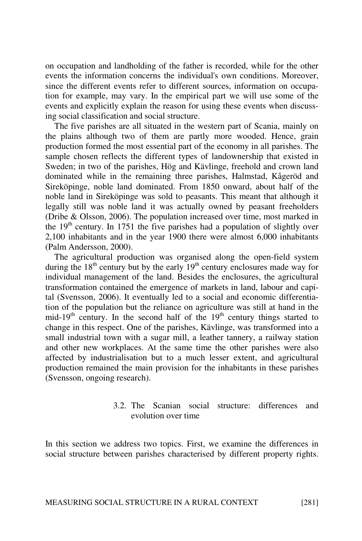on occupation and landholding of the father is recorded, while for the other events the information concerns the individual's own conditions. Moreover, since the different events refer to different sources, information on occupation for example, may vary. In the empirical part we will use some of the events and explicitly explain the reason for using these events when discussing social classification and social structure.

The five parishes are all situated in the western part of Scania, mainly on the plains although two of them are partly more wooded. Hence, grain production formed the most essential part of the economy in all parishes. The sample chosen reflects the different types of landownership that existed in Sweden; in two of the parishes, Hög and Kävlinge, freehold and crown land dominated while in the remaining three parishes, Halmstad, Kågeröd and Sireköpinge, noble land dominated. From 1850 onward, about half of the noble land in Sireköpinge was sold to peasants. This meant that although it legally still was noble land it was actually owned by peasant freeholders (Dribe & Olsson, 2006). The population increased over time, most marked in the  $19<sup>th</sup>$  century. In 1751 the five parishes had a population of slightly over 2,100 inhabitants and in the year 1900 there were almost 6,000 inhabitants (Palm Andersson, 2000).

The agricultural production was organised along the open-field system during the  $18<sup>th</sup>$  century but by the early  $19<sup>th</sup>$  century enclosures made way for individual management of the land. Besides the enclosures, the agricultural transformation contained the emergence of markets in land, labour and capital (Svensson, 2006). It eventually led to a social and economic differentiation of the population but the reliance on agriculture was still at hand in the mid-19<sup>th</sup> century. In the second half of the  $19<sup>th</sup>$  century things started to change in this respect. One of the parishes, Kävlinge, was transformed into a small industrial town with a sugar mill, a leather tannery, a railway station and other new workplaces. At the same time the other parishes were also affected by industrialisation but to a much lesser extent, and agricultural production remained the main provision for the inhabitants in these parishes (Svensson, ongoing research).

# 3.2. The Scanian social structure: differences and evolution over time

In this section we address two topics. First, we examine the differences in social structure between parishes characterised by different property rights.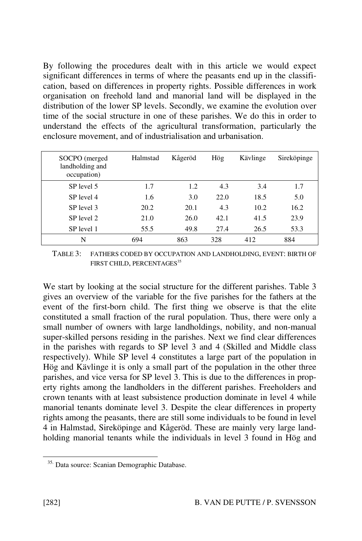By following the procedures dealt with in this article we would expect significant differences in terms of where the peasants end up in the classification, based on differences in property rights. Possible differences in work organisation on freehold land and manorial land will be displayed in the distribution of the lower SP levels. Secondly, we examine the evolution over time of the social structure in one of these parishes. We do this in order to understand the effects of the agricultural transformation, particularly the enclosure movement, and of industrialisation and urbanisation.

| SOCPO (merged)<br>landholding and<br>occupation) | Halmstad | Kågeröd | Hög  | Kävlinge | Sireköpinge |
|--------------------------------------------------|----------|---------|------|----------|-------------|
| SP level 5                                       | 1.7      | 1.2     | 4.3  | 3.4      | 1.7         |
| SP level 4                                       | 1.6      | 3.0     | 22.0 | 18.5     | 5.0         |
| SP level 3                                       | 20.2     | 20.1    | 4.3  | 10.2     | 16.2        |
| SP level 2                                       | 21.0     | 26.0    | 42.1 | 41.5     | 23.9        |
| SP level 1                                       | 55.5     | 49.8    | 27.4 | 26.5     | 53.3        |
| N                                                | 694      | 863     | 328  | 412      | 884         |

TABLE 3: FATHERS CODED BY OCCUPATION AND LANDHOLDING, EVENT: BIRTH OF FIRST CHILD, PERCENTAGES<sup>35</sup>

We start by looking at the social structure for the different parishes. Table 3 gives an overview of the variable for the five parishes for the fathers at the event of the first-born child. The first thing we observe is that the elite constituted a small fraction of the rural population. Thus, there were only a small number of owners with large landholdings, nobility, and non-manual super-skilled persons residing in the parishes. Next we find clear differences in the parishes with regards to SP level 3 and 4 (Skilled and Middle class respectively). While SP level 4 constitutes a large part of the population in Hög and Kävlinge it is only a small part of the population in the other three parishes, and vice versa for SP level 3. This is due to the differences in property rights among the landholders in the different parishes. Freeholders and crown tenants with at least subsistence production dominate in level 4 while manorial tenants dominate level 3. Despite the clear differences in property rights among the peasants, there are still some individuals to be found in level 4 in Halmstad, Sireköpinge and Kågeröd. These are mainly very large landholding manorial tenants while the individuals in level 3 found in Hög and

<sup>35.</sup> Data source: Scanian Demographic Database.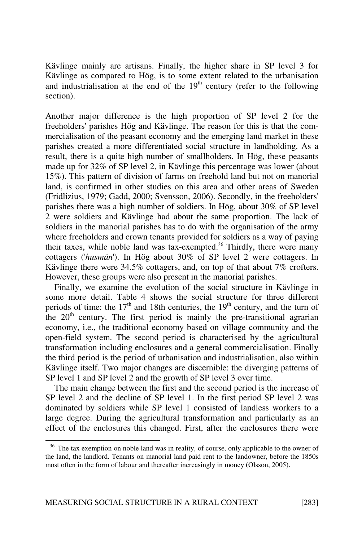Kävlinge mainly are artisans. Finally, the higher share in SP level 3 for Kävlinge as compared to Hög, is to some extent related to the urbanisation and industrialisation at the end of the  $19<sup>th</sup>$  century (refer to the following section).

Another major difference is the high proportion of SP level 2 for the freeholders' parishes Hög and Kävlinge. The reason for this is that the commercialisation of the peasant economy and the emerging land market in these parishes created a more differentiated social structure in landholding. As a result, there is a quite high number of smallholders. In Hög, these peasants made up for 32% of SP level 2, in Kävlinge this percentage was lower (about 15%). This pattern of division of farms on freehold land but not on manorial land, is confirmed in other studies on this area and other areas of Sweden (Fridlizius, 1979; Gadd, 2000; Svensson, 2006). Secondly, in the freeholders' parishes there was a high number of soldiers. In Hög, about 30% of SP level 2 were soldiers and Kävlinge had about the same proportion. The lack of soldiers in the manorial parishes has to do with the organisation of the army where freeholders and crown tenants provided for soldiers as a way of paying their taxes, while noble land was tax-exempted.<sup>36</sup> Thirdly, there were many cottagers ('husmän'). In Hög about 30% of SP level 2 were cottagers. In Kävlinge there were 34.5% cottagers, and, on top of that about 7% crofters. However, these groups were also present in the manorial parishes.

Finally, we examine the evolution of the social structure in Kävlinge in some more detail. Table 4 shows the social structure for three different periods of time: the  $17<sup>th</sup>$  and 18th centuries, the  $19<sup>th</sup>$  century, and the turn of the  $20<sup>th</sup>$  century. The first period is mainly the pre-transitional agrarian economy, i.e., the traditional economy based on village community and the open-field system. The second period is characterised by the agricultural transformation including enclosures and a general commercialisation. Finally the third period is the period of urbanisation and industrialisation, also within Kävlinge itself. Two major changes are discernible: the diverging patterns of SP level 1 and SP level 2 and the growth of SP level 3 over time.

The main change between the first and the second period is the increase of SP level 2 and the decline of SP level 1. In the first period SP level 2 was dominated by soldiers while SP level 1 consisted of landless workers to a large degree. During the agricultural transformation and particularly as an effect of the enclosures this changed. First, after the enclosures there were

<sup>&</sup>lt;sup>36.</sup> The tax exemption on noble land was in reality, of course, only applicable to the owner of the land, the landlord. Tenants on manorial land paid rent to the landowner, before the 1850s most often in the form of labour and thereafter increasingly in money (Olsson, 2005).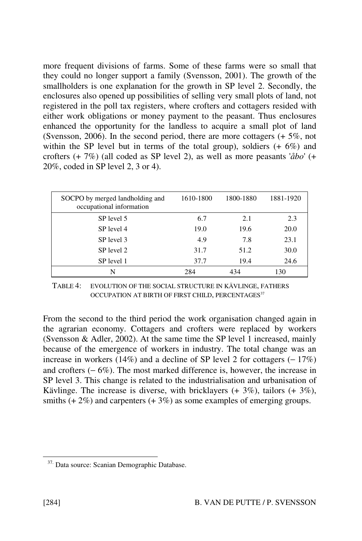more frequent divisions of farms. Some of these farms were so small that they could no longer support a family (Svensson, 2001). The growth of the smallholders is one explanation for the growth in SP level 2. Secondly, the enclosures also opened up possibilities of selling very small plots of land, not registered in the poll tax registers, where crofters and cottagers resided with either work obligations or money payment to the peasant. Thus enclosures enhanced the opportunity for the landless to acquire a small plot of land (Svensson, 2006). In the second period, there are more cottagers (+ 5%, not within the SP level but in terms of the total group), soldiers  $(+ 6\%)$  and crofters  $(+ 7\%)$  (all coded as SP level 2), as well as more peasants ' $\partial b\omega'$  (+ 20%, coded in SP level 2, 3 or 4).

| SOCPO by merged landholding and<br>occupational information | 1610-1800 | 1800-1880 | 1881-1920 |
|-------------------------------------------------------------|-----------|-----------|-----------|
| SP level 5                                                  | 6.7       | 2.1       | 2.3       |
| SP level 4                                                  | 19.0      | 19.6      | 20.0      |
| SP level 3                                                  | 4.9       | 7.8       | 23.1      |
| SP level 2                                                  | 31.7      | 51.2      | 30.0      |
| SP level 1                                                  | 37.7      | 19.4      | 24.6      |
| N                                                           | 284       | 434       | 130       |

TABLE 4: EVOLUTION OF THE SOCIAL STRUCTURE IN KÄVLINGE, FATHERS OCCUPATION AT BIRTH OF FIRST CHILD, PERCENTAGES<sup>37</sup>

From the second to the third period the work organisation changed again in the agrarian economy. Cottagers and crofters were replaced by workers (Svensson & Adler, 2002). At the same time the SP level 1 increased, mainly because of the emergence of workers in industry. The total change was an increase in workers (14%) and a decline of SP level 2 for cottagers (− 17%) and crofters (− 6%). The most marked difference is, however, the increase in SP level 3. This change is related to the industrialisation and urbanisation of Kävlinge. The increase is diverse, with bricklayers  $(+3\%)$ , tailors  $(+3\%)$ , smiths  $(+ 2\%)$  and carpenters  $(+ 3\%)$  as some examples of emerging groups.

<sup>37.</sup> Data source: Scanian Demographic Database.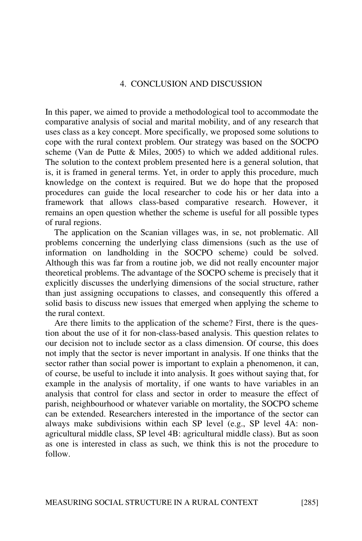# 4. CONCLUSION AND DISCUSSION

In this paper, we aimed to provide a methodological tool to accommodate the comparative analysis of social and marital mobility, and of any research that uses class as a key concept. More specifically, we proposed some solutions to cope with the rural context problem. Our strategy was based on the SOCPO scheme (Van de Putte & Miles, 2005) to which we added additional rules. The solution to the context problem presented here is a general solution, that is, it is framed in general terms. Yet, in order to apply this procedure, much knowledge on the context is required. But we do hope that the proposed procedures can guide the local researcher to code his or her data into a framework that allows class-based comparative research. However, it remains an open question whether the scheme is useful for all possible types of rural regions.

The application on the Scanian villages was, in se, not problematic. All problems concerning the underlying class dimensions (such as the use of information on landholding in the SOCPO scheme) could be solved. Although this was far from a routine job, we did not really encounter major theoretical problems. The advantage of the SOCPO scheme is precisely that it explicitly discusses the underlying dimensions of the social structure, rather than just assigning occupations to classes, and consequently this offered a solid basis to discuss new issues that emerged when applying the scheme to the rural context.

Are there limits to the application of the scheme? First, there is the question about the use of it for non-class-based analysis. This question relates to our decision not to include sector as a class dimension. Of course, this does not imply that the sector is never important in analysis. If one thinks that the sector rather than social power is important to explain a phenomenon, it can, of course, be useful to include it into analysis. It goes without saying that, for example in the analysis of mortality, if one wants to have variables in an analysis that control for class and sector in order to measure the effect of parish, neighbourhood or whatever variable on mortality, the SOCPO scheme can be extended. Researchers interested in the importance of the sector can always make subdivisions within each SP level (e.g., SP level 4A: nonagricultural middle class, SP level 4B: agricultural middle class). But as soon as one is interested in class as such, we think this is not the procedure to follow.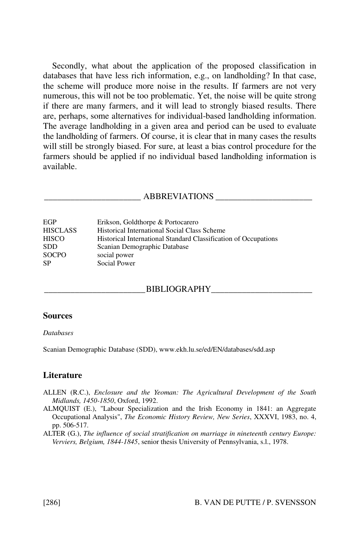Secondly, what about the application of the proposed classification in databases that have less rich information, e.g., on landholding? In that case, the scheme will produce more noise in the results. If farmers are not very numerous, this will not be too problematic. Yet, the noise will be quite strong if there are many farmers, and it will lead to strongly biased results. There are, perhaps, some alternatives for individual-based landholding information. The average landholding in a given area and period can be used to evaluate the landholding of farmers. Of course, it is clear that in many cases the results will still be strongly biased. For sure, at least a bias control procedure for the farmers should be applied if no individual based landholding information is available.

#### ABBREVIATIONS

| EGP             | Erikson, Goldthorpe & Portocarero                               |
|-----------------|-----------------------------------------------------------------|
| <b>HISCLASS</b> | <b>Historical International Social Class Scheme</b>             |
| <b>HISCO</b>    | Historical International Standard Classification of Occupations |
| <b>SDD</b>      | Scanian Demographic Database                                    |
| <b>SOCPO</b>    | social power                                                    |
| <b>SP</b>       | Social Power                                                    |

#### BIBLIOGRAPHY

#### Sources

#### **Databases**

Scanian Demographic Database (SDD), www.ekh.lu.se/ed/EN/databases/sdd.asp

#### **Literature**

- ALLEN (R.C.), Enclosure and the Yeoman: The Agricultural Development of the South Midlands, 1450-1850, Oxford, 1992.
- ALMQUIST (E.), "Labour Specialization and the Irish Economy in 1841: an Aggregate Occupational Analysis", The Economic History Review, New Series, XXXVI, 1983, no. 4, pp. 506-517.
- ALTER (G.), The influence of social stratification on marriage in nineteenth century Europe: Verviers, Belgium, 1844-1845, senior thesis University of Pennsylvania, s.l., 1978.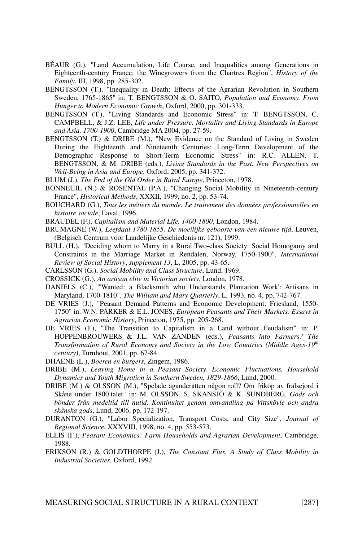- BÉAUR (G.), "Land Accumulation, Life Course, and Inequalities among Generations in Eighteenth-century France: the Winegrowers from the Chartres Region", History of the Family, III, 1998, pp. 285-302.
- BENGTSSON (T.), "Inequality in Death: Effects of the Agrarian Revolution in Southern Sweden, 1765-1865" in: T. BENGTSSON & O. SAITO, Population and Economy. From Hunger to Modern Economic Growth, Oxford, 2000, pp. 301-333.
- BENGTSSON (T.), "Living Standards and Economic Stress" in: T. BENGTSSON, C. CAMPBELL, & J.Z. LEE, Life under Pressure. Mortality and Living Standards in Europe and Asia, 1700-1900, Cambridge MA 2004, pp. 27-59.
- BENGTSSON (T.) & DRIBE (M.), "New Evidence on the Standard of Living in Sweden During the Eighteenth and Nineteenth Centuries: Long-Term Development of the Demographic Response to Short-Term Economic Stress" in: R.C. ALLEN, T. BENGTSSON, & M. DRIBE (eds.), Living Standards in the Past. New Perspectives on Well-Being in Asia and Europe, Oxford, 2005, pp. 341-372.
- BLUM (J.), The End of the Old Order in Rural Europe, Princeton, 1978.
- BONNEUIL (N.) & ROSENTAL (P.A.), "Changing Social Mobility in Nineteenth-century France", Historical Methods, XXXII, 1999, no. 2, pp. 53-74.
- BOUCHARD (G.), Tous les métiers du monde. Le traitement des données professionnelles en histoire sociale, Laval, 1996.
- BRAUDEL (F.), Capitalism and Material Life, 1400-1800, London, 1984.
- BRUMAGNE (W.), Leefdaal 1780-1855. De moeilijke geboorte van een nieuwe tijd, Leuven, (Belgisch Centrum voor Landelijke Geschiedenis nr. 121), 1999.
- BULL (H.), "Deciding whom to Marry in a Rural Two-class Society: Social Homogamy and Constraints in the Marriage Market in Rendalen, Norway, 1750-1900", International Review of Social History, supplement 13, L, 2005, pp. 43-65.
- CARLSSON (G.), Social Mobility and Class Structure, Lund, 1969.
- CROSSICK (G.), An artisan elite in Victorian society, London, 1978.
- DANIELS (C.), "'Wanted: a Blacksmith who Understands Plantation Work': Artisans in Maryland, 1700-1810", The William and Mary Quarterly, L, 1993, no. 4, pp. 742-767.
- DE VRIES (J.), "Peasant Demand Patterns and Economic Development: Friesland, 1550- 1750" in: W.N. PARKER & E.L. JONES, European Peasants and Their Markets. Essays in Agrarian Economic History, Princeton, 1975, pp. 205-268.
- DE VRIES (J.), "The Transition to Capitalism in a Land without Feudalism" in: P. HOPPENBROUWERS & J.L. VAN ZANDEN (eds.), Peasants into Farmers? The Transformation of Rural Economy and Society in the Low Countries (Middle Ages-19<sup>th</sup> century), Turnhout, 2001, pp. 67-84.
- DHAENE (L.), Boeren en burgers, Zingem, 1986.
- DRIBE (M.), Leaving Home in a Peasant Society. Economic Fluctuations, Household Dynamics and Youth Migration in Southern Sweden, 1829-1866, Lund, 2000.
- DRIBE (M.) & OLSSON (M.), "Spelade äganderätten någon roll? Om friköp av frälsejord i Skåne under 1800.talet" in: M. OLSSON, S. SKANSJÖ & K. SUNDBERG, Gods och bönder från medeltid till nutid. Kontinuitet genom omvandling på Vittskövle och andra skånska gods, Lund, 2006, pp. 172-197.
- DURANTON (G.), "Labor Specialization, Transport Costs, and City Size", Journal of Regional Science, XXXVIII, 1998, no. 4, pp. 553-573.
- ELLIS (F.), Peasant Economics: Farm Households and Agrarian Development, Cambridge, 1988.
- ERIKSON (R.) & GOLDTHORPE (J.), The Constant Flux. A Study of Class Mobility in Industrial Societies, Oxford, 1992.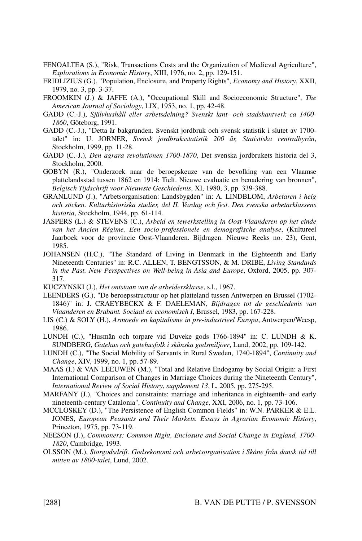- FENOALTEA (S.), "Risk, Transactions Costs and the Organization of Medieval Agriculture", Explorations in Economic History, XIII, 1976, no. 2, pp. 129-151.
- FRIDLIZIUS (G.), "Population, Enclosure, and Property Rights", Economy and History, XXII, 1979, no. 3, pp. 3-37.
- FROOMKIN (J.) & JAFFE (A.), "Occupational Skill and Socioeconomic Structure", The American Journal of Sociology, LIX, 1953, no. 1, pp. 42-48.
- GADD (C.-J.), Självhushåll eller arbetsdelning? Svenskt lant- och stadshantverk ca 1400- 1860, Göteborg, 1991.
- GADD (C.-J.), "Detta är bakgrunden. Svenskt jordbruk och svensk statistik i slutet av 1700 talet" in: U. JORNER, Svensk jordbruksstatistik 200 år, Statistiska centralbyrån, Stockholm, 1999, pp. 11-28.
- GADD (C.-J.), Den agrara revolutionen 1700-1870, Det svenska jordbrukets historia del 3, Stockholm, 2000.
- GOBYN (R.), "Onderzoek naar de beroepskeuze van de bevolking van een Vlaamse plattelandsstad tussen 1862 en 1914: Tielt. Nieuwe evaluatie en benadering van bronnen", Belgisch Tijdschrift voor Nieuwste Geschiedenis, XI, 1980, 3, pp. 339-388.
- GRANLUND (J.), "Arbetsorganisation: Landsbygden" in: A. LINDBLOM, Arbetaren i helg och söcken. Kulturhistoriska studier, del II. Vardag och fest. Den svenska arbetarklassens historia, Stockholm, 1944, pp. 61-114.
- JASPERS (L.) & STEVENS (C.), Arbeid en tewerkstelling in Oost-Vlaanderen op het einde van het Ancien Régime. Een socio-professionele en demografische analyse, (Kultureel Jaarboek voor de provincie Oost-Vlaanderen. Bijdragen. Nieuwe Reeks no. 23), Gent, 1985.
- JOHANSEN (H.C.), "The Standard of Living in Denmark in the Eighteenth and Early Nineteenth Centuries" in: R.C. ALLEN, T. BENGTSSON, & M. DRIBE, Living Standards in the Past. New Perspectives on Well-being in Asia and Europe, Oxford, 2005, pp. 307- 317.
- KUCZYNSKI (J.), Het ontstaan van de arbeidersklasse, s.l., 1967.
- LEENDERS (G.), "De beroepsstructuur op het platteland tussen Antwerpen en Brussel (1702- 1846)" in: J. CRAEYBECKX & F. DAELEMAN, Bijdragen tot de geschiedenis van Vlaanderen en Brabant. Sociaal en economisch I, Brussel, 1983, pp. 167-228.
- LIS (C.) & SOLY (H.), Armoede en kapitalisme in pre-industrieel Europa, Antwerpen/Weesp, 1986.
- LUNDH (C.), "Husmän och torpare vid Duveke gods 1766-1894" in: C. LUNDH & K. SUNDBERG, Gatehus och gatehusfolk i skånska godsmiljöer, Lund, 2002, pp. 109-142.
- LUNDH (C.), "The Social Mobility of Servants in Rural Sweden, 1740-1894", Continuity and Change, XIV, 1999, no. 1, pp. 57-89.
- MAAS (I.) & VAN LEEUWEN (M.), "Total and Relative Endogamy by Social Origin: a First International Comparison of Changes in Marriage Choices during the Nineteenth Century", International Review of Social History, supplement 13, L, 2005, pp. 275-295.
- MARFANY (J.), "Choices and constraints: marriage and inheritance in eighteenth- and early nineteenth-century Catalonia", Continuity and Change, XXI, 2006, no. 1, pp. 73-106.
- MCCLOSKEY (D.), "The Persistence of English Common Fields" in: W.N. PARKER & E.L. JONES, European Peasants and Their Markets. Essays in Agrarian Economic History, Princeton, 1975, pp. 73-119.
- NEESON (J.), Commoners: Common Right, Enclosure and Social Change in England, 1700- 1820, Cambridge, 1993.
- OLSSON (M.), Storgodsdrift. Godsekonomi och arbetsorganisation i Skåne från dansk tid till mitten av 1800-talet, Lund, 2002.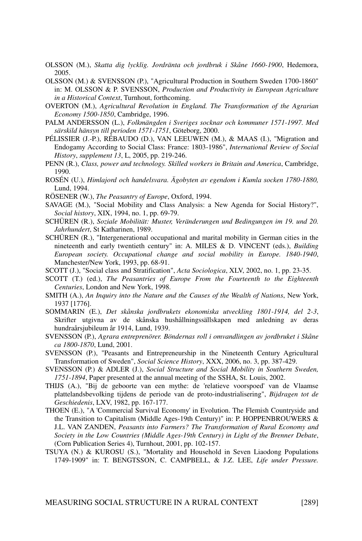- OLSSON (M.), Skatta dig lycklig. Jordränta och jordbruk i Skåne 1660-1900, Hedemora, 2005.
- OLSSON (M.) & SVENSSON (P.), "Agricultural Production in Southern Sweden 1700-1860" in: M. OLSSON & P. SVENSSON, Production and Productivity in European Agriculture in a Historical Context, Turnhout, forthcoming.
- OVERTON (M.), Agricultural Revolution in England. The Transformation of the Agrarian Economy 1500-1850, Cambridge, 1996.
- PALM ANDERSSON (L.), Folkmängden i Sveriges socknar och kommuner 1571-1997. Med särskild hänsyn till perioden 1571-1751, Göteborg, 2000.
- PÉLISSIER (J.-P.), RÉBAUDO (D.), VAN LEEUWEN (M.), & MAAS (I.), "Migration and Endogamy According to Social Class: France: 1803-1986", International Review of Social History, supplement 13, L, 2005, pp. 219-246.
- PENN (R.), Class, power and technology. Skilled workers in Britain and America, Cambridge, 1990.
- ROSÉN (U.), Himlajord och handelsvara. Ägobyten av egendom i Kumla socken 1780-1880, Lund, 1994.

RÖSENER (W.), The Peasantry of Europe, Oxford, 1994.

- SAVAGE (M.), "Social Mobility and Class Analysis: a New Agenda for Social History?", Social history, XIX, 1994, no. 1, pp. 69-79.
- SCHÜREN (R.), Soziale Mobilität: Muster, Veränderungen und Bedingungen im 19. und 20. Jahrhundert, St Katharinen, 1989.
- SCHÜREN (R.), "Intergenerational occupational and marital mobility in German cities in the nineteenth and early twentieth century" in: A. MILES & D. VINCENT (eds.), Building European society. Occupational change and social mobility in Europe. 1840-1940, Manchester/New York, 1993, pp. 68-91.
- SCOTT (J.), "Social class and Stratification", Acta Sociologica, XLV, 2002, no. 1, pp. 23-35.
- SCOTT (T.) (ed.), The Peasantries of Europe From the Fourteenth to the Eighteenth Centuries, London and New York, 1998.
- SMITH (A.), An Inquiry into the Nature and the Causes of the Wealth of Nations, New York, 1937 [1776].
- SOMMARIN (E.), Det skånska jordbrukets ekonomiska utveckling 1801-1914, del 2-3, Skrifter utgivna av de skånska hushållningssällskapen med anledning av deras hundraårsjubileum år 1914, Lund, 1939.
- SVENSSON (P.), Agrara entreprenörer. Böndernas roll i omvandlingen av jordbruket i Skåne ca 1800-1870, Lund, 2001.
- SVENSSON (P.), "Peasants and Entrepreneurship in the Nineteenth Century Agricultural Transformation of Sweden", Social Science History, XXX, 2006, no. 3, pp. 387-429.
- SVENSSON (P.) & ADLER (J.), Social Structure and Social Mobility in Southern Sweden, 1751-1894, Paper presented at the annual meeting of the SSHA, St. Louis, 2002.
- THIJS (A.), "Bij de geboorte van een mythe: de 'relatieve voorspoed' van de Vlaamse plattelandsbevolking tijdens de periode van de proto-industrialisering", Bijdragen tot de Geschiedenis, LXV, 1982, pp. 167-177.
- THOEN (E.), "A 'Commercial Survival Economy' in Evolution. The Flemish Countryside and the Transition to Capitalism (Middle Ages-19th Century)" in: P. HOPPENBROUWERS & J.L. VAN ZANDEN, Peasants into Farmers? The Transformation of Rural Economy and Society in the Low Countries (Middle Ages-19th Century) in Light of the Brenner Debate, (Corn Publication Series 4), Turnhout, 2001, pp. 102-157.
- TSUYA (N.) & KUROSU (S.), "Mortality and Household in Seven Liaodong Populations 1749-1909" in: T. BENGTSSON, C. CAMPBELL, & J.Z. LEE, Life under Pressure.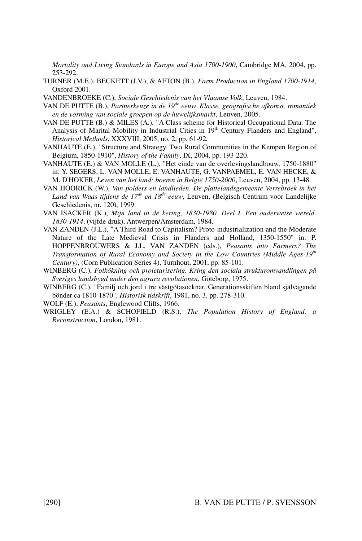Mortality and Living Standards in Europe and Asia 1700-1900, Cambridge MA, 2004, pp. 253-292.

- TURNER (M.E.), BECKETT (J.V.), & AFTON (B.), Farm Production in England 1700-1914, Oxford 2001.
- VANDENBROEKE (C.), Sociale Geschiedenis van het Vlaamse Volk, Leuven, 1984.
- VAN DE PUTTE  $(B_1)$ , Partnerkeuze in de 19<sup>de</sup> eeuw. Klasse, geografische afkomst, romantiek en de vorming van sociale groepen op de huwelijksmarkt, Leuven, 2005.
- VAN DE PUTTE (B.) & MILES (A.), "A Class scheme for Historical Occupational Data. The Analysis of Marital Mobility in Industrial Cities in 19<sup>th</sup> Century Flanders and England", Historical Methods, XXXVIII, 2005, no. 2, pp. 61-92.
- VANHAUTE (E.), "Structure and Strategy. Two Rural Communities in the Kempen Region of Belgium, 1850-1910", History of the Family, IX, 2004, pp. 193-220.
- VANHAUTE (E.) & VAN MOLLE (L.), "Het einde van de overlevingslandbouw, 1750-1880" in: Y. SEGERS, L. VAN MOLLE, E. VANHAUTE, G. VANPAEMEL, E. VAN HECKE, & M. D'HOKER, Leven van het land: boeren in België 1750-2000, Leuven, 2004, pp. 13-48.
- VAN HOORICK (W.), Van polders en landlieden. De plattelandsgemeente Verrebroek in het Land van Waas tijdens de 17<sup>de</sup> en 18<sup>de</sup> eeuw, Leuven, (Belgisch Centrum voor Landelijke Geschiedenis, nr. 120), 1999.
- VAN ISACKER (K.), Mijn land in de kering, 1830-1980. Deel I. Een ouderwetse wereld. 1830-1914, (vijfde druk), Antwerpen/Amsterdam, 1984.
- VAN ZANDEN (J.L.), "A Third Road to Capitalism? Proto-industrialization and the Moderate Nature of the Late Medieval Crisis in Flanders and Holland, 1350-1550" in: P. HOPPENBROUWERS & J.L. VAN ZANDEN (eds.), Peasants into Farmers? The Transformation of Rural Economy and Society in the Low Countries (Middle Ages-19<sup>th</sup> Century), (Corn Publication Series 4), Turnhout, 2001, pp. 85-101.
- WINBERG (C.), Folkökning och proletarisering. Kring den sociala strukturomvandlingen på Sveriges landsbygd under den agrara revolutionen, Göteborg, 1975.
- WINBERG (C.), "Familj och jord i tre västgötasocknar. Generationsskiften bland självägande bönder ca 1810-1870", Historisk tidskrift, 1981, no. 3, pp. 278-310.
- WOLF (E.), Peasants, Englewood Cliffs, 1966.
- WRIGLEY (E.A.) & SCHOFIELD (R.S.), The Population History of England: a Reconstruction, London, 1981.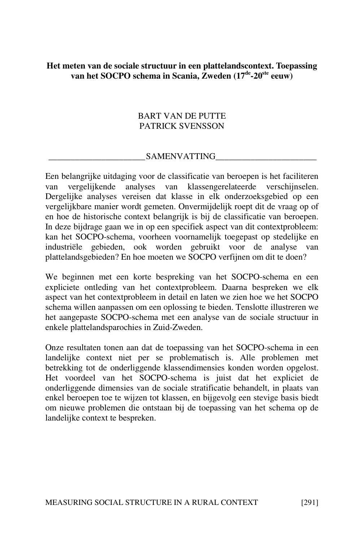# Het meten van de sociale structuur in een plattelandscontext. Toepassing van het SOCPO schema in Scania, Zweden (17<sup>de</sup>-20<sup>ste</sup> eeuw)

# BART VAN DE PUTTE PATRICK SVENSSON

# \_\_\_\_\_\_\_\_\_\_\_\_\_\_\_\_\_\_\_\_\_\_SAMENVATTING\_\_\_\_\_\_\_\_\_\_\_\_\_\_\_\_\_\_\_\_\_\_\_

Een belangrijke uitdaging voor de classificatie van beroepen is het faciliteren van vergelijkende analyses van klassengerelateerde verschijnselen. Dergelijke analyses vereisen dat klasse in elk onderzoeksgebied op een vergelijkbare manier wordt gemeten. Onvermijdelijk roept dit de vraag op of en hoe de historische context belangrijk is bij de classificatie van beroepen. In deze bijdrage gaan we in op een specifiek aspect van dit contextprobleem: kan het SOCPO-schema, voorheen voornamelijk toegepast op stedelijke en industriële gebieden, ook worden gebruikt voor de analyse van plattelandsgebieden? En hoe moeten we SOCPO verfijnen om dit te doen?

We beginnen met een korte bespreking van het SOCPO-schema en een expliciete ontleding van het contextprobleem. Daarna bespreken we elk aspect van het contextprobleem in detail en laten we zien hoe we het SOCPO schema willen aanpassen om een oplossing te bieden. Tenslotte illustreren we het aangepaste SOCPO-schema met een analyse van de sociale structuur in enkele plattelandsparochies in Zuid-Zweden.

Onze resultaten tonen aan dat de toepassing van het SOCPO-schema in een landelijke context niet per se problematisch is. Alle problemen met betrekking tot de onderliggende klassendimensies konden worden opgelost. Het voordeel van het SOCPO-schema is juist dat het expliciet de onderliggende dimensies van de sociale stratificatie behandelt, in plaats van enkel beroepen toe te wijzen tot klassen, en bijgevolg een stevige basis biedt om nieuwe problemen die ontstaan bij de toepassing van het schema op de landelijke context te bespreken.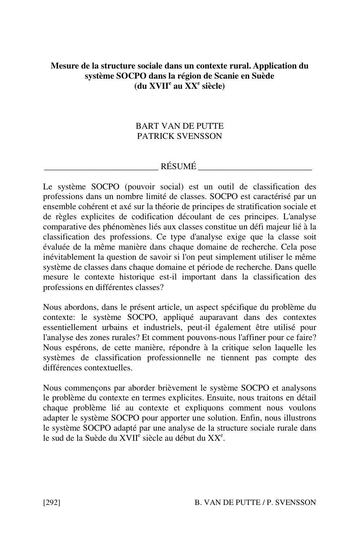# Mesure de la structure sociale dans un contexte rural. Application du système SOCPO dans la région de Scanie en Suède (du XVII<sup>e</sup> au XX<sup>e</sup> siècle)

# BART VAN DE PUTTE PATRICK SVENSSON

# $R \acute{\text{E}} \text{SUM\'E}$

Le système SOCPO (pouvoir social) est un outil de classification des professions dans un nombre limité de classes. SOCPO est caractérisé par un ensemble cohérent et axé sur la théorie de principes de stratification sociale et de règles explicites de codification découlant de ces principes. L'analyse comparative des phénomènes liés aux classes constitue un défi majeur lié à la classification des professions. Ce type d'analyse exige que la classe soit évaluée de la même manière dans chaque domaine de recherche. Cela pose inévitablement la question de savoir si l'on peut simplement utiliser le même système de classes dans chaque domaine et période de recherche. Dans quelle mesure le contexte historique est-il important dans la classification des professions en différentes classes?

Nous abordons, dans le présent article, un aspect spécifique du problème du contexte: le système SOCPO, appliqué auparavant dans des contextes essentiellement urbains et industriels, peut-il également être utilisé pour l'analyse des zones rurales? Et comment pouvons-nous l'affiner pour ce faire? Nous espérons, de cette manière, répondre à la critique selon laquelle les systèmes de classification professionnelle ne tiennent pas compte des différences contextuelles.

Nous commençons par aborder brièvement le système SOCPO et analysons le problème du contexte en termes explicites. Ensuite, nous traitons en détail chaque problème lié au contexte et expliquons comment nous voulons adapter le système SOCPO pour apporter une solution. Enfin, nous illustrons le système SOCPO adapté par une analyse de la structure sociale rurale dans le sud de la Suède du  $\widehat{XVII}^{\hat{e}}$  siècle au début du  $XX^e$ .